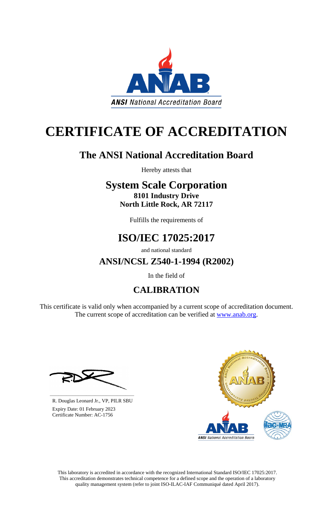

# **CERTIFICATE OF ACCREDITATION**

## **The ANSI National Accreditation Board**

Hereby attests that

### **System Scale Corporation 8101 Industry Drive North Little Rock, AR 72117**

Fulfills the requirements of

## **ISO/IEC 17025:2017**

and national standard

**ANSI/NCSL Z540-1-1994 (R2002)**

In the field of

## **CALIBRATION**

This certificate is valid only when accompanied by a current scope of accreditation document. The current scope of accreditation can be verified at [www.anab.org.](http://www.anab.org/)







**\_\_\_\_\_\_\_\_\_\_\_\_\_\_\_\_\_\_\_\_\_\_\_\_\_\_\_\_\_\_** R. Douglas Leonard Jr., VP, PILR SBU

 Expiry Date: 01 February 2023 Certificate Number: AC-1756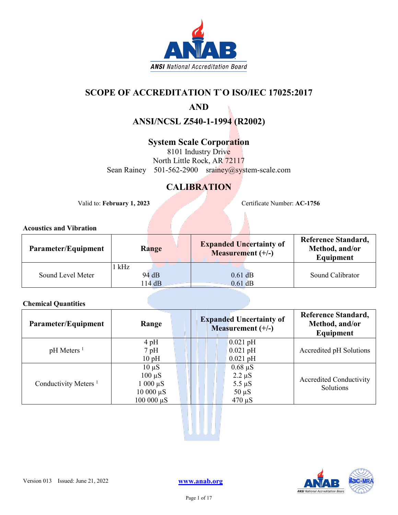

### **SCOPE OF ACCREDITATION T`O ISO/IEC 17025:2017**

### **AND**

**ANSI/NCSL Z540-1-1994 (R2002)**

### **System Scale Corporation**

8101 Industry Drive North Little Rock, AR 72117 Sean Rainey 501-562-2900 srainey@system-scale.com

### **CALIBRATION**

Valid to: **February 1, 2023** Certificate Number: **AC-1756** 

### **Acoustics and Vibration**

| Parameter/Equipment | Range                 | <b>Expanded Uncertainty of</b><br><b>Measurement</b> $(+/-)$ | <b>Reference Standard,</b><br>Method, and/or<br>Equipment |
|---------------------|-----------------------|--------------------------------------------------------------|-----------------------------------------------------------|
| Sound Level Meter   | kHz<br>94 dB<br>114dB | $0.61$ dB<br>$0.61$ dB                                       | Sound Calibrator                                          |

### **Chemical Quantities**

| Parameter/Equipment      | Range          | <b>Expanded Uncertainty of</b><br>Measurement $(+/-)$ | <b>Reference Standard,</b><br>Method, and/or<br>Equipment |
|--------------------------|----------------|-------------------------------------------------------|-----------------------------------------------------------|
|                          | $4$ pH         | $0.021$ pH                                            |                                                           |
| $pH$ Meters <sup>1</sup> | $7$ pH         | $0.021$ pH                                            | Accredited pH Solutions                                   |
|                          | 10pH           | $0.021$ pH                                            |                                                           |
|                          | $10 \mu S$     | $0.68 \mu S$                                          |                                                           |
| Conductivity Meters $1$  | $100 \mu S$    | $2.2 \mu S$                                           | <b>Accredited Conductivity</b>                            |
|                          | $1000 \mu S$   | $5.5 \mu S$                                           | Solutions                                                 |
|                          | $10000 \mu S$  | $50 \mu S$                                            |                                                           |
|                          | $100000 \mu S$ | $470 \mu S$                                           |                                                           |



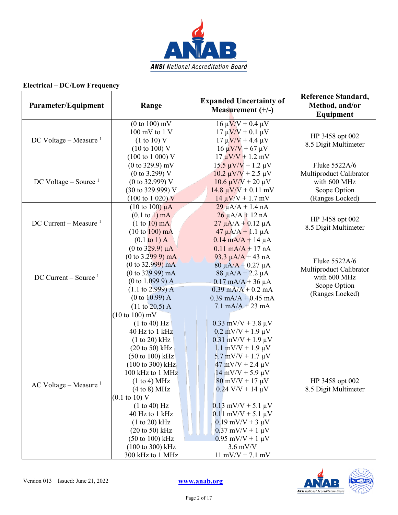

| Parameter/Equipment                | Range                                                                                                                                                                                                                                                                                                                                                                                                                            | <b>Expanded Uncertainty of</b><br>Measurement $(+/-)$                                                                                                                                                                                                                                                                                                                                                                                                          | <b>Reference Standard,</b><br>Method, and/or<br><b>Equipment</b>                            |
|------------------------------------|----------------------------------------------------------------------------------------------------------------------------------------------------------------------------------------------------------------------------------------------------------------------------------------------------------------------------------------------------------------------------------------------------------------------------------|----------------------------------------------------------------------------------------------------------------------------------------------------------------------------------------------------------------------------------------------------------------------------------------------------------------------------------------------------------------------------------------------------------------------------------------------------------------|---------------------------------------------------------------------------------------------|
| DC Voltage – Measure $1$           | $(0 to 100)$ mV<br>$100$ mV to $1$ V<br>(1 to 10) V<br>$(10 \text{ to } 100)$ V<br>$(100 \text{ to } 1000) \text{ V}$                                                                                                                                                                                                                                                                                                            | $16 \mu V/V + 0.4 \mu V$<br>$17 \mu V/V + 0.1 \mu V$<br>$17 \mu V/V + 4.4 \mu V$<br>$16 \mu V/V + 67 \mu V$<br>$17 \mu V/V + 1.2 \ mV$                                                                                                                                                                                                                                                                                                                         | HP 3458 opt 002<br>8.5 Digit Multimeter                                                     |
| DC Voltage – Source $1$            | $(0 to 329.9)$ mV<br>$(0 \text{ to } 3.299)$ V<br>$(0 \text{ to } 32.999)$ V<br>(30 to 329.999) V<br>$(100 \text{ to } 1020) \text{ V}$                                                                                                                                                                                                                                                                                          | $15.5 \mu V/V + 1.2 \mu V$<br>$10.2 \mu V/V + 2.5 \mu V$<br>$10.6 \mu V/V + 20 \mu V$<br>$14.8 \mu V/V + 0.11 \text{ mV}$<br>$14 \mu V/V + 1.7 \ mV$                                                                                                                                                                                                                                                                                                           | Fluke 5522A/6<br>Multiproduct Calibrator<br>with 600 MHz<br>Scope Option<br>(Ranges Locked) |
| DC Current – Measure $1$           | $(10 \text{ to } 100) \mu A$<br>$(0.1 \text{ to } 1) \text{ mA}$<br>$(1 to 10)$ mA<br>$(10 \text{ to } 100) \text{ mA}$<br>$(0.1 \text{ to } 1)$ A                                                                                                                                                                                                                                                                               | $29 \mu A/A + 1.4 nA$<br>$26 \mu A/A + 12 nA$<br>$27 \mu A/A + 0.12 \mu A$<br>$47 \mu A/A + 1.1 \mu A$<br>$0.14 \text{ mA/A} + 14 \mu\text{A}$                                                                                                                                                                                                                                                                                                                 | HP 3458 opt 002<br>8.5 Digit Multimeter                                                     |
| $DC$ Current – Source <sup>1</sup> | (0 to $329.9$ ) $\mu$ A<br>$(0 to 3.2999)$ mA<br>$(0 \text{ to } 32.999) \text{ mA}$<br>$(0 \text{ to } 329.99) \text{ mA}$<br>(0 to 1.0999) A<br>$(1.1 \text{ to } 2.999)$ A<br>(0 to 10.99) A<br>$(11 \text{ to } 20.5)$ A                                                                                                                                                                                                     | $0.11$ mA/A + 17 nA<br>93.3 $\mu$ A/A + 43 nA<br>$80 \mu A/A + 0.27 \mu A$<br>$88 \mu A/A + 2.2 \mu A$<br>$0.17$ mA/A + 36 µA<br>$0.39$ mA/A + 0.2 mA<br>$0.39$ mA/A + 0.45 mA<br>$7.1 \text{ mA/A} + 23 \text{ mA}$                                                                                                                                                                                                                                           | Fluke 5522A/6<br>Multiproduct Calibrator<br>with 600 MHz<br>Scope Option<br>(Ranges Locked) |
| AC Voltage – Measure $1$           | $(10 \text{ to } 100) \text{ mV}$<br>(1 to 40) Hz<br>40 Hz to 1 kHz<br>$(1 to 20)$ kHz<br>$(20 \text{ to } 50) \text{ kHz}$<br>(50 to 100) kHz<br>(100 to 300) kHz<br>100 kHz to 1 MHz<br>(1 to 4) MHz<br>(4 to 8) MHz<br>$(0.1 \text{ to } 10) \text{ V}$<br>(1 to 40) Hz<br>40 Hz to 1 kHz<br>(1 to 20) kHz<br>$(20 \text{ to } 50) \text{ kHz}$<br>$(50 \text{ to } 100) \text{ kHz}$<br>(100 to 300) kHz<br>300 kHz to 1 MHz | $0.33$ mV/V + 3.8 µV<br>$0.2$ mV/V + 1.9 $\mu$ V<br>$0.31$ mV/V + 1.9 µV<br>$1.1$ mV/V + $1.9 \mu$ V<br>$5.7$ mV/V + 1.7 $\mu$ V<br>$47$ mV/V + 2.4 $\mu$ V<br>$14$ mV/V + 5.9 $\mu$ V<br>$80 \text{ mV/V} + 17 \text{ }\mu\text{V}$<br>$0.24$ V/V + 14 $\mu$ V<br>$0.13$ mV/V + 5.1 $\mu$ V<br>$[0.11 \text{ mV/V} + 5.1 \text{ \mu V}]$<br>$0.19$ mV/V + 3 $\mu$ V<br>$0.37$ mV/V + 1 $\mu$ V<br>$0.95$ mV/V + 1 $\mu$ V<br>$3.6$ mV/V<br>$11$ mV/V + 7.1 mV | HP 3458 opt 002<br>8.5 Digit Multimeter                                                     |

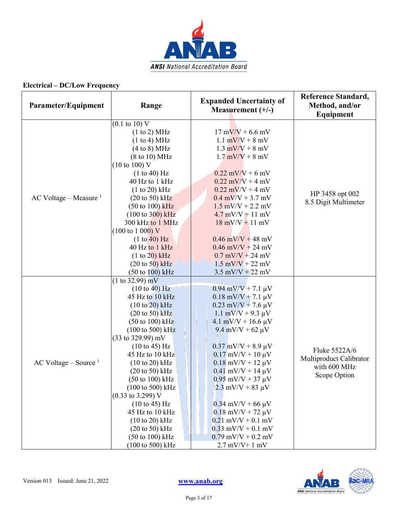

| Parameter/Equipment      | Range                                                                                                                                                                                                                                                                                                                                                                                                                                                                                                                                                                                                                 | <b>Expanded Uncertainty of</b><br>Measurement $(+/-)$                                                                                                                                                                                                                                                                                                                                                                                                                                                | <b>Reference Standard,</b><br>Method, and/or<br>Equipment                |
|--------------------------|-----------------------------------------------------------------------------------------------------------------------------------------------------------------------------------------------------------------------------------------------------------------------------------------------------------------------------------------------------------------------------------------------------------------------------------------------------------------------------------------------------------------------------------------------------------------------------------------------------------------------|------------------------------------------------------------------------------------------------------------------------------------------------------------------------------------------------------------------------------------------------------------------------------------------------------------------------------------------------------------------------------------------------------------------------------------------------------------------------------------------------------|--------------------------------------------------------------------------|
| AC Voltage – Measure $1$ | $(0.1 \text{ to } 10) \text{ V}$<br>(1 to 2) MHz<br>(1 to 4) MHz<br>(4 to 8) MHz<br>$(8 \text{ to } 10) \text{ MHz}$<br>$(10 \text{ to } 100)$ V<br>(1 to 40) Hz<br>40 Hz to 1 kHz<br>$(1 to 20)$ kHz<br>$(20 \text{ to } 50) \text{ kHz}$<br>$(50 \text{ to } 100) \text{ kHz}$<br>$(100 \text{ to } 300) \text{ kHz}$<br>300 kHz to 1 MHz<br>$(100 \text{ to } 1000) \text{ V}$<br>(1 to 40) Hz<br>40 Hz to 1 kHz<br>(1 to 20) kHz<br>$(20 \text{ to } 50)$ kHz<br>$(50 \text{ to } 100) \text{ kHz}$                                                                                                               | $17 \text{ mV/V} + 6.6 \text{ mV}$<br>1.1 $mV/V + 8 mV$<br>$1.3$ mV/V + 8 mV<br>$1.7$ mV/V + 8 mV<br>$0.22$ mV/V + 6 mV<br>$0.22$ mV/V + 4 mV<br>$0.22$ mV/V + 4 mV<br>$0.4$ mV/V + 3.7 mV<br>$1.5$ mV/V + 2.2 mV<br>$4.7$ mV/V $+$ 11 mV<br>$18$ mV/V + 11 mV<br>$0.46$ mV/V + 48 mV<br>$0.46$ mV/V + 24 mV<br>$0.7$ mV/V + 24 mV<br>$1.5$ mV/V + 22 mV<br>$3.5$ mV/V + 22 mV                                                                                                                       | HP 3458 opt 002<br>8.5 Digit Multimeter                                  |
| AC Voltage – Source $1$  | (1 to 32.99) mV<br>(10 to 40) Hz<br>45 Hz to 10 kHz<br>$(10 to 20)$ kHz<br>$(20 \text{ to } 50)$ kHz<br>$(50 \text{ to } 100) \text{ kHz}$<br>$(100 \text{ to } 500) \text{ kHz}$<br>$(33 \text{ to } 329.99) \text{ mV}$<br>$(10 \text{ to } 45) \text{ Hz}$<br>45 Hz to 10 kHz<br>$(10 to 20)$ kHz<br>$(20 \text{ to } 50) \text{ kHz}$<br>$(50 \text{ to } 100) \text{ kHz}$<br>$(100 \text{ to } 500) \text{ kHz}$<br>$(0.33 \text{ to } 3.299) \text{ V}$<br>(10 to 45) Hz<br>45 Hz to 10 kHz<br>$(10 to 20)$ kHz<br>$(20 \text{ to } 50) \text{ kHz}$<br>$(50 \text{ to } 100) \text{ kHz}$<br>(100 to 500) kHz | $0.94$ mV/V + 7.1 $\mu$ V<br>$0.18$ mV/V + 7.1 µV<br>$0.23$ mV/V + 7.6 $\mu$ V<br>$1.1 \text{ mV/V} + 9.3 \text{ }\mu\text{V}$<br>4.1 mV/V + 16.6 $\mu$ V<br>9.4 mV/V + 62 $\mu$ V<br>$0.37$ mV/V + 8.9 µV<br>$0.17$ mV/V + 10 $\mu$ V<br>$0.18$ mV/V + 12 $\mu$ V<br>$0.41$ mV/V + 14 $\mu$ V<br>$0.95$ mV/V + 37 $\mu$ V<br>$2.3$ mV/V + 83 $\mu$ V<br>$0.34$ mV/V + 66 $\mu$ V<br>$0.18$ mV/V + 72 µV<br>$0.21$ mV/V + 0.1 mV<br>$0.33$ mV/V + 0.1 mV<br>$0.79$ mV/V + 0.2 mV<br>$2.7$ mV/V+ 1 mV | Fluke 5522A/6<br>Multiproduct Calibrator<br>with 600 MHz<br>Scope Option |

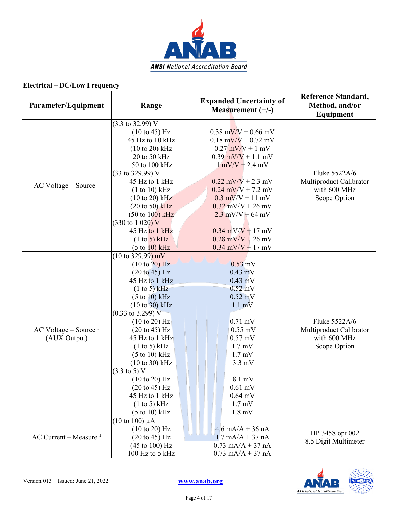

| Parameter/Equipment                     | Range                                                                                                                                                                                                                                                                                                                                                                                                                                                                                                                       | <b>Expanded Uncertainty of</b><br>Measurement $(+/-)$                                                                                                                                                                                                                                                     | <b>Reference Standard,</b><br>Method, and/or<br>Equipment                |
|-----------------------------------------|-----------------------------------------------------------------------------------------------------------------------------------------------------------------------------------------------------------------------------------------------------------------------------------------------------------------------------------------------------------------------------------------------------------------------------------------------------------------------------------------------------------------------------|-----------------------------------------------------------------------------------------------------------------------------------------------------------------------------------------------------------------------------------------------------------------------------------------------------------|--------------------------------------------------------------------------|
| $AC$ Voltage – Source <sup>1</sup>      | $(3.3 \text{ to } 32.99) \text{ V}$<br>(10 to 45) Hz<br>45 Hz to 10 kHz<br>$(10 to 20)$ kHz<br>20 to 50 kHz<br>50 to 100 kHz<br>$(33 \text{ to } 329.99) \text{ V}$<br>45 Hz to 1 kHz<br>(1 to 10) kHz<br>$(10 \text{ to } 20) \text{ kHz}$<br>$(20 \text{ to } 50)$ kHz<br>$(50 \text{ to } 100) \text{ kHz}$<br>$(330 \text{ to } 1020) \text{ V}$<br>45 Hz to 1 kHz<br>(1 to 5) kHz<br>(5 to 10) kHz                                                                                                                     | $0.38$ mV/V + 0.66 mV<br>$0.18$ mV/V + 0.72 mV<br>$0.27$ mV/V + 1 mV<br>$0.39$ mV/V + 1.1 mV<br>$1$ mV/V + 2.4 mV<br>$0.22$ mV/V + 2.3 mV<br>$0.24$ mV/V + 7.2 mV<br>$0.3$ mV/V + 11 mV<br>$0.32$ mV/V + 26 mV<br>$2.3$ mV/V + 64 mV<br>$0.34$ mV/V + 17 mV<br>$0.28$ mV/V + 26 mV<br>$0.34$ mV/V + 17 mV | Fluke 5522A/6<br>Multiproduct Calibrator<br>with 600 MHz<br>Scope Option |
| AC Voltage – Source $1$<br>(AUX Output) | $(10 \text{ to } 329.99) \text{ mV}$<br>(10 to 20) Hz<br>$(20 \text{ to } 45)$ Hz<br>45 Hz to 1 kHz<br>(1 to 5) kHz<br>(5 to 10) kHz<br>$(10 to 30)$ kHz<br>$(0.33 \text{ to } 3.299) \text{ V}$<br>$(10 \text{ to } 20)$ Hz<br>$(20 \text{ to } 45)$ Hz<br>45 Hz to 1 kHz<br>(1 to 5) kHz<br>$(5 \text{ to } 10) \text{ kHz}$<br>$(10 to 30)$ kHz<br>$(3.3 \text{ to } 5) \text{ V}$<br>$(10 \text{ to } 20)$ Hz<br>$(20 \text{ to } 45) \text{ Hz}$<br>45 Hz to 1 kHz<br>(1 to 5) kHz<br>$(5 \text{ to } 10) \text{ kHz}$ | $0.53$ mV<br>$0.43 \text{ mV}$<br>$0.43$ mV<br>$0.52 \text{ mV}$<br>$0.52 \text{ mV}$<br>$1.1 \text{ mV}$<br>$0.71$ mV<br>$0.55$ mV<br>$0.57$ mV<br>$1.7 \text{ mV}$<br>$1.7 \text{ mV}$<br>$3.3 \text{ mV}$<br>8.1 mV<br>$0.61$ mV<br>$0.64$ mV<br>$1.7 \text{ mV}$<br>$1.8 \text{ mV}$                  | Fluke 5522A/6<br>Multiproduct Calibrator<br>with 600 MHz<br>Scope Option |
| AC Current – Measure $1$                | $(10 \text{ to } 100) \mu A$<br>(10 to 20) Hz<br>$(20 \text{ to } 45) \text{ Hz}$<br>$(45 \text{ to } 100) \text{ Hz}$<br>100 Hz to 5 kHz                                                                                                                                                                                                                                                                                                                                                                                   | $4.6 \text{ mA/A} + 36 \text{ nA}$<br>$1.7 \text{ mA/A} + 37 \text{ nA}$<br>$0.73$ mA/A + 37 nA<br>$0.73$ mA/A + 37 nA                                                                                                                                                                                    | HP 3458 opt 002<br>8.5 Digit Multimeter                                  |

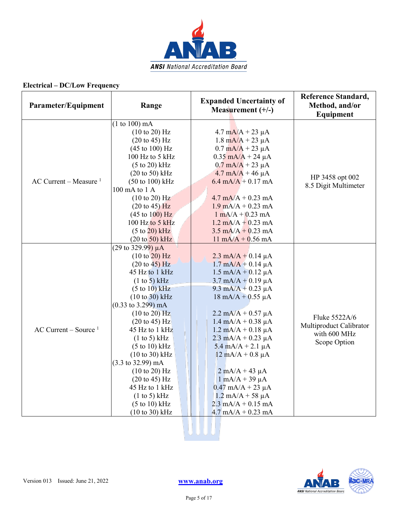

| Parameter/Equipment      | Range                                 | <b>Expanded Uncertainty of</b><br>Measurement $(+/-)$    | <b>Reference Standard,</b><br>Method, and/or<br>Equipment |
|--------------------------|---------------------------------------|----------------------------------------------------------|-----------------------------------------------------------|
|                          | (1 to 100) mA                         |                                                          |                                                           |
|                          | (10 to 20) Hz                         | $4.7 \text{ mA/A} + 23 \text{ }\mu\text{A}$              |                                                           |
|                          | $(20 \text{ to } 45) \text{ Hz}$      | $1.8 \text{ mA/A} + 23 \mu\text{A}$                      |                                                           |
|                          | $(45 \text{ to } 100) \text{ Hz}$     | $0.7 \text{ mA/A} + 23 \mu\text{A}$                      |                                                           |
|                          | 100 Hz to 5 kHz                       | $0.35$ mA/A + 24 µA                                      |                                                           |
|                          | $(5 \text{ to } 20)$ kHz              | $0.7 \text{ mA/A} + 23 \mu\text{A}$                      |                                                           |
|                          | $(20 \text{ to } 50)$ kHz             | $4.7 \text{ mA}/\text{A} + 46 \text{ }\mu\text{A}$       | HP 3458 opt 002                                           |
| AC Current – Measure $1$ | $(50 \text{ to } 100) \text{ kHz}$    | $6.4 \text{ mA/A} + 0.17 \text{ mA}$                     | 8.5 Digit Multimeter                                      |
|                          | 100 mA to 1 A                         |                                                          |                                                           |
|                          | $(10 \text{ to } 20)$ Hz              | $4.7 \text{ mA/A} + 0.23 \text{ mA}$                     |                                                           |
|                          | $(20 \text{ to } 45)$ Hz              | $1.9 \text{ mA/A} + 0.23 \text{ mA}$                     |                                                           |
|                          | $(45 \text{ to } 100) \text{ Hz}$     | $1 \text{ mA}/A + 0.23 \text{ mA}$                       |                                                           |
|                          | 100 Hz to 5 kHz                       | $1.2 \text{ mA/A} + 0.23 \text{ mA}$                     |                                                           |
|                          | $(5 \text{ to } 20)$ kHz              | $3.5 \text{ mA/A} + 0.23 \text{ mA}$                     |                                                           |
|                          | $(20 \text{ to } 50) \text{ kHz}$     | $11 \text{ mA/A} + 0.56 \text{ mA}$                      |                                                           |
|                          | (29 to 329.99) $\mu$ A                |                                                          |                                                           |
|                          | (10 to 20) Hz                         | $2.3 \text{ mA/A} + 0.14 \mu\text{A}$                    |                                                           |
|                          | $(20 \text{ to } 45) \text{ Hz}$      | $1.7 \text{ mA/A} + 0.14 \text{ }\mu\text{A}$            |                                                           |
|                          | 45 Hz to 1 kHz                        | $1.5 \text{ mA/A} + 0.12 \text{ }\mu\text{A}$            |                                                           |
|                          | (1 to 5) kHz                          | $3.7 \text{ mA/A} + 0.19 \mu\text{A}$                    |                                                           |
|                          | (5 to 10) kHz                         | $9.3 \text{ mA/A} + 0.23 \text{ }\mu\text{A}$            |                                                           |
|                          | $(10 \text{ to } 30)$ kHz             | $18 \text{ mA/A} + 0.55 \mu\text{A}$                     |                                                           |
|                          | $(0.33 \text{ to } 3.299) \text{ mA}$ |                                                          |                                                           |
|                          | (10 to 20) Hz                         | $2.2 \text{ mA}/\text{\AA} + 0.57 \text{ }\mu\text{\AA}$ | Fluke 5522A/6                                             |
|                          | $(20 \text{ to } 45)$ Hz              | $1.4 \text{ mA/A} + 0.38 \text{ }\mu\text{A}$            | Multiproduct Calibrator                                   |
| AC Current – Source $1$  | 45 Hz to 1 kHz                        | $1.2$ mA/A + 0.18 $\mu$ A                                | with 600 MHz                                              |
|                          | $(1 \text{ to } 5)$ kHz               | $2.3$ mA/A + 0.23 µA                                     | Scope Option                                              |
|                          | $(5 \text{ to } 10) \text{ kHz}$      | $5.4 \text{ mA/A} + 2.1 \text{ }\mu\text{A}$             |                                                           |
|                          | $(10 \text{ to } 30) \text{ kHz}$     | $12 \text{ mA/A} + 0.8 \mu\text{A}$                      |                                                           |
|                          | $(3.3 \text{ to } 32.99) \text{ mA}$  |                                                          |                                                           |
|                          | (10 to 20) Hz                         | $2$ mA/A + 43 $\mu$ A                                    |                                                           |
|                          | $(20 \text{ to } 45) \text{ Hz}$      | $1 \text{ mA}/A + 39 \mu A$                              |                                                           |
|                          | 45 Hz to 1 kHz                        | $0.47$ mA/A + 23 µA                                      |                                                           |
|                          | (1 to 5) kHz                          | $1.2 \text{ mA/A} + 58 \text{ }\mu\text{A}$              |                                                           |
|                          | $(5 \text{ to } 10) \text{ kHz}$      | $2.3 \text{ mA/A} + 0.15 \text{ mA}$                     |                                                           |
|                          | $(10 \text{ to } 30)$ kHz             | $4.7 \text{ mA/A} + 0.23 \text{ mA}$                     |                                                           |

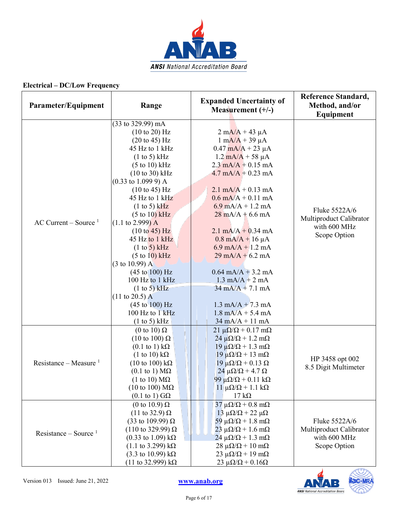

| Parameter/Equipment      | Range                                                                          | <b>Expanded Uncertainty of</b><br>Measurement $(+/-)$                       | <b>Reference Standard,</b><br>Method, and/or<br>Equipment |
|--------------------------|--------------------------------------------------------------------------------|-----------------------------------------------------------------------------|-----------------------------------------------------------|
|                          | (33 to 329.99) mA                                                              |                                                                             |                                                           |
|                          | (10 to 20) Hz                                                                  | $2 \text{ mA}/A + 43 \text{ }\mu\text{A}$                                   |                                                           |
|                          | $(20 \text{ to } 45) \text{ Hz}$                                               | $1 \text{ mA}/A + 39 \mu A$                                                 |                                                           |
|                          | 45 Hz to 1 kHz                                                                 | $0.47$ mA/A + 23 µA                                                         |                                                           |
|                          | (1 to 5) kHz                                                                   | $1.2 \text{ mA/A} + 58 \mu\text{A}$                                         |                                                           |
|                          | $(5 \text{ to } 10) \text{ kHz}$                                               | $2.3 \text{ mA/A} + 0.15 \text{ mA}$                                        |                                                           |
|                          | $(10 \text{ to } 30)$ kHz                                                      | $4.7 \text{ mA}/A + 0.23 \text{ mA}$                                        |                                                           |
|                          | $(0.33 \text{ to } 1.099 \text{ 9}) \text{ A}$                                 |                                                                             |                                                           |
|                          | $(10 \text{ to } 45)$ Hz                                                       | $2.1 \text{ mA/A} + 0.13 \text{ mA}$                                        |                                                           |
|                          | 45 Hz to $1$ kHz                                                               | $0.6$ mA/A + 0.11 mA                                                        |                                                           |
|                          | $(1 to 5)$ kHz                                                                 | $6.9 \text{ mA/A} + 1.2 \text{ mA}$                                         | Fluke 5522A/6                                             |
|                          | $(5 \text{ to } 10)$ kHz                                                       | $28 \text{ mA/A} + 6.6 \text{ mA}$                                          | Multiproduct Calibrator                                   |
| AC Current – Source $1$  | $(1.1 \text{ to } 2.999) \text{ A}$                                            |                                                                             | with 600 MHz                                              |
|                          | $(10 \text{ to } 45)$ Hz                                                       | $2.1$ mA/A + 0.34 mA                                                        | Scope Option                                              |
|                          | 45 Hz to $1$ kHz                                                               | $0.8 \text{ mA/A} + 16 \mu\text{A}$                                         |                                                           |
|                          | (1 to 5) kHz                                                                   | 6.9 mA/A + 1.2 mA                                                           |                                                           |
|                          | (5 to 10) kHz                                                                  | $29 \text{ mA/A} + 6.2 \text{ mA}$                                          |                                                           |
|                          | $(3 \text{ to } 10.99)$ A                                                      |                                                                             |                                                           |
|                          | $(45 \text{ to } 100) \text{ Hz}$                                              | $0.64$ mA/A + 3.2 mA                                                        |                                                           |
|                          | 100 Hz to 1 kHz                                                                | $1.3 \text{ mA/A} + 2 \text{ mA}$                                           |                                                           |
|                          | (1 to 5) kHz                                                                   | $34 \text{ mA}/A + 7.1 \text{ mA}$                                          |                                                           |
|                          | $(11 \text{ to } 20.5) \text{ A}$                                              |                                                                             |                                                           |
|                          | $(45 \text{ to } 100) \text{ Hz}$                                              | $1.3 \text{ mA/A} + 7.3 \text{ mA}$                                         |                                                           |
|                          | 100 Hz to 1 kHz                                                                | $1.8 \text{ mA/A} + 5.4 \text{ mA}$                                         |                                                           |
|                          | $(1 to 5)$ kHz                                                                 | $34 \text{ mA}/A + 11 \text{ mA}$                                           |                                                           |
|                          | (0 to 10) $\Omega$                                                             | $21 \mu\Omega/\Omega$ + 0.17 m $\Omega$                                     |                                                           |
|                          | $(10 \text{ to } 100) \Omega$                                                  | $24 \mu\Omega/\Omega + 1.2 \text{ mA}$                                      |                                                           |
|                          | $(0.1 \text{ to } 1) \text{ k}\Omega$                                          | $19 \mu\Omega/\Omega + 1.3 \text{ mA}$                                      |                                                           |
| Resistance – Measure $1$ | $(1 \text{ to } 10) \text{ k}\Omega$<br>$(10 \text{ to } 100) \text{ k}\Omega$ | $19 \mu\Omega/\Omega + 13 \mu\Omega$                                        | HP 3458 opt 002                                           |
|                          | $(0.1 \text{ to } 1) \text{ M}\Omega$                                          | $19 \mu\Omega/\Omega + 0.13 \Omega$<br>$24 \mu\Omega/\Omega$ + 4.7 $\Omega$ | 8.5 Digit Multimeter                                      |
|                          | (1 to 10) $M\Omega$                                                            | 99 μ $\Omega/\Omega$ + 0.11 kΩ                                              |                                                           |
|                          | $(10 \text{ to } 100) \text{ M}\Omega$                                         | $11 \mu\Omega/\Omega + 1.1 \kOmega$                                         |                                                           |
|                          | $(0.1 \text{ to } 1) \text{ G}\Omega$                                          | $17 \text{ k}\Omega$                                                        |                                                           |
|                          | (0 to 10.9) $\Omega$                                                           | $37 \mu\Omega/\Omega + 0.8 \text{ m}\Omega$                                 |                                                           |
|                          | $(11 \text{ to } 32.9) \Omega$                                                 | $13 \mu\Omega/\Omega$ + 22 $\mu\Omega$                                      |                                                           |
|                          | (33 to 109.99) $\Omega$                                                        | 59 $\mu\Omega/\Omega$ + 1.8 m $\Omega$                                      | Fluke 5522A/6                                             |
| Resistance – Source $1$  | $(110 \text{ to } 329.99) \Omega$                                              | $23 \mu\Omega/\Omega + 1.6 \text{ mA}$                                      | Multiproduct Calibrator                                   |
|                          | $(0.33 \text{ to } 1.09) \text{ k}\Omega$                                      | $24 \mu\Omega/\Omega + 1.3 \text{ m}\Omega$                                 | with 600 MHz                                              |
|                          | $(1.1 \text{ to } 3.299) \text{ k}\Omega$                                      | $28 \mu\Omega/\Omega + 10 \text{ m}\Omega$                                  | Scope Option                                              |
|                          | $(3.3 \text{ to } 10.99) \text{ k}\Omega$                                      | $23 \mu\Omega/\Omega + 19 \text{ mA}$                                       |                                                           |
|                          | (11 to 32.999) kΩ                                                              | $23 \mu\Omega/\Omega + 0.16\Omega$                                          |                                                           |

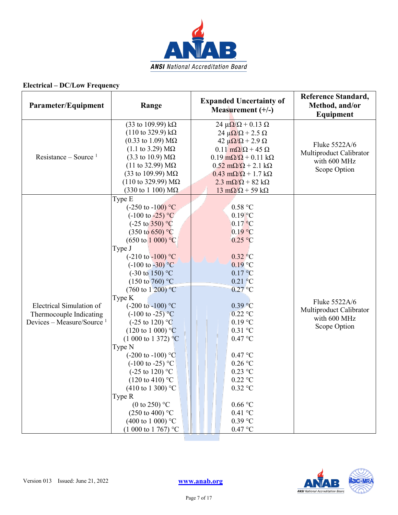

| Parameter/Equipment                                                                          | Range                                                                                                                                                                                                                                                                                                                                                                                                                                                                                                                                                                                                                                                                                                                                                                                                                    | <b>Expanded Uncertainty of</b><br>Measurement $(+/-)$                                                                                                                                                                                                                                                                                                                                                                             | Reference Standard,<br>Method, and/or<br>Equipment                       |
|----------------------------------------------------------------------------------------------|--------------------------------------------------------------------------------------------------------------------------------------------------------------------------------------------------------------------------------------------------------------------------------------------------------------------------------------------------------------------------------------------------------------------------------------------------------------------------------------------------------------------------------------------------------------------------------------------------------------------------------------------------------------------------------------------------------------------------------------------------------------------------------------------------------------------------|-----------------------------------------------------------------------------------------------------------------------------------------------------------------------------------------------------------------------------------------------------------------------------------------------------------------------------------------------------------------------------------------------------------------------------------|--------------------------------------------------------------------------|
| Resistance – Source <sup>1</sup>                                                             | (33 to 109.99) $k\Omega$<br>$(110 \text{ to } 329.9) \text{ k}\Omega$<br>$(0.33 \text{ to } 1.09) \text{ MΩ}$<br>$(1.1 \text{ to } 3.29) \text{ M}\Omega$<br>$(3.3 \text{ to } 10.9) \text{ M}\Omega$<br>$(11$ to 32.99) ΜΩ<br>(33 to 109.99) $MΩ$<br>$(110 \text{ to } 329.99) \text{ M}\Omega$<br>$(330 \text{ to } 1100) \text{ M}\Omega$                                                                                                                                                                                                                                                                                                                                                                                                                                                                             | $24 \mu \Omega / \Omega + 0.13 \Omega$<br>$24 \mu \Omega / \Omega + 2.5 \Omega$<br>42 $\mu\Omega/\Omega$ + 2.9 $\Omega$<br>$0.11 \text{ m}\Omega/\Omega$ + 45 $\Omega$<br>$0.19 \text{ m}\Omega/\Omega + 0.11 \text{ k}\Omega$<br>$0.52 \text{ m}\Omega/\Omega$ + 2.1 k $\Omega$<br>$0.43 \text{ m}\Omega/\Omega + 1.7 \text{ k}\Omega$<br>$2.3 \text{ mA}/\Omega + 82 \text{ k}\Omega$<br>$13 \text{ mA}/\Omega$ + 59 k $\Omega$ | Fluke 5522A/6<br>Multiproduct Calibrator<br>with 600 MHz<br>Scope Option |
| Electrical Simulation of<br>Thermocouple Indicating<br>Devices – Measure/Source <sup>1</sup> | Type E<br>$(-250 \text{ to } -100) \text{ °C}$<br>$(-100 \text{ to } -25)$ °C<br>$(-25 \text{ to } 350)$ °C<br>$(350 \text{ to } 650)$ °C<br>$(650 \text{ to } 1000)$ °C<br>Type J<br>$(-210 \text{ to } -100)$ °C<br>$(-100 \text{ to } -30)$ °C<br>$(-30 \text{ to } 150)$ °C<br>$(150 \text{ to } 760)$ °C<br>$(760 \text{ to } 1200)$ °C<br>Type K<br>$(-200 \text{ to } -100)$ °C<br>$(-100 \text{ to } -25)^{\circ}C$<br>$(-25 \text{ to } 120)$ °C<br>$(120 \text{ to } 1000)$ °C<br>$(1\ 000\ \text{to}\ 1\ 372)$ °C<br>Type N<br>$(-200 \text{ to } -100)$ °C<br>$(-100 \text{ to } -25)$ °C<br>$(-25 \text{ to } 120)$ °C<br>$(120 \text{ to } 410)$ °C<br>(410 to 1 300) °C<br>Type R<br>(0 to 250) $^{\circ}$ C<br>$(250 \text{ to } 400)$ °C<br>(400 to 1 000) $^{\circ}$ C<br>$(1000 \text{ to } 1767)$ °C | 0.58 °C<br>$0.19$ °C<br>$0.17$ °C<br>0.19 °C<br>0.25 °C<br>$0.32 \degree C$<br>$0.19$ °C<br>0.17 °C<br>$0.21\degree C$<br>$0.27$ °C<br>0.39 °C<br>$0.22$ °C<br>$0.19$ °C<br>$0.31$ °C<br>0.47 °C<br>0.47 °C<br>$0.26$ °C<br>$0.23$ °C<br>$0.22$ °C<br>$0.32$ °C<br>0.66 °C<br>$0.41$ °C<br>$0.39$ °C<br>0.47 °C                                                                                                                   | Fluke 5522A/6<br>Multiproduct Calibrator<br>with 600 MHz<br>Scope Option |



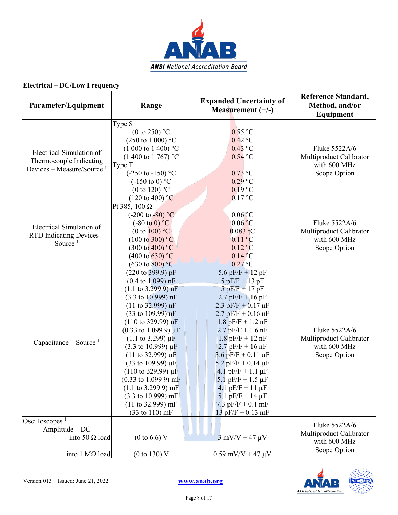

| Parameter/Equipment                                                                                    | Range                                                                                                                                                                                                                                                                                                                                                                                                                                                                                                                                                                                                                                                                                                                                    | <b>Expanded Uncertainty of</b><br>Measurement $(+/-)$                                                                                                                                                                                                                                                                                                                                                                        | <b>Reference Standard,</b><br>Method, and/or<br>Equipment                |
|--------------------------------------------------------------------------------------------------------|------------------------------------------------------------------------------------------------------------------------------------------------------------------------------------------------------------------------------------------------------------------------------------------------------------------------------------------------------------------------------------------------------------------------------------------------------------------------------------------------------------------------------------------------------------------------------------------------------------------------------------------------------------------------------------------------------------------------------------------|------------------------------------------------------------------------------------------------------------------------------------------------------------------------------------------------------------------------------------------------------------------------------------------------------------------------------------------------------------------------------------------------------------------------------|--------------------------------------------------------------------------|
| Electrical Simulation of<br>Thermocouple Indicating<br>Devices – Measure/Source <sup>1</sup>           | Type S<br>(0 to 250) $^{\circ}$ C<br>$(250 \text{ to } 1000)$ °C<br>$(1000 \text{ to } 1400)$ °C<br>$(1400 \text{ to } 1767)$ °C<br>Type T<br>$(-250 \text{ to } -150)$ °C<br>$(-150 \text{ to } 0)$ °C<br>(0 to 120) $^{\circ}$ C<br>$(120 \text{ to } 400)$ °C                                                                                                                                                                                                                                                                                                                                                                                                                                                                         | $0.55$ °C<br>$0.42$ °C<br>$0.43$ °C<br>$0.54$ °C<br>$0.73$ °C<br>$0.29$ °C<br>$0.19$ °C<br>$0.17$ °C                                                                                                                                                                                                                                                                                                                         | Fluke 5522A/6<br>Multiproduct Calibrator<br>with 600 MHz<br>Scope Option |
| Electrical Simulation of<br>RTD Indicating Devices -<br>Source <sup>1</sup>                            | Pt 385, 100 $\Omega$<br>$(-200 \text{ to } -80)$ °C<br>$(-80 \text{ to } 0)$ °C<br>(0 to 100) $^{\circ}$ C<br>$(100 \text{ to } 300)$ °C<br>$(300 \text{ to } 400)$ °C<br>$(400 \text{ to } 630)$ °C<br>$(630 \text{ to } 800)$ °C                                                                                                                                                                                                                                                                                                                                                                                                                                                                                                       | $0.06$ °C<br>$0.06$ °C<br>$0.083$ °C<br>$0.11$ °C<br>$0.12 \text{ °C}$<br>$0.14\degree C$<br>$0.27$ °C                                                                                                                                                                                                                                                                                                                       | Fluke 5522A/6<br>Multiproduct Calibrator<br>with 600 MHz<br>Scope Option |
| Capacitance – Source $1$                                                                               | $(220 \text{ to } 399.9) \text{ pF}$<br>$(0.4 \text{ to } 1.099) \text{ nF}$<br>$(1.1 \text{ to } 3.2999) \text{ nF}$<br>$(3.3 \text{ to } 10.999) \text{ nF}$<br>(11 to 32.999) nF<br>$(33 \text{ to } 109.99) \text{ nF}$<br>$(110 \text{ to } 329.99) \text{ nF}$<br>$(0.33 \text{ to } 1.099 \text{ 9}) \mu \text{F}$<br>$(1.1 \text{ to } 3.299) \mu\text{F}$<br>$(3.3 \text{ to } 10.999) \,\mu\text{F}$<br>$(11 \text{ to } 32.999) \mu F$<br>$(33 \text{ to } 109.99) \,\mu\text{F}$<br>$(110 \text{ to } 329.99) \mu F$<br>$(0.33 \text{ to } 1.099 \text{ 9}) \text{ mF}$<br>$(1.1 \text{ to } 3.299 \text{ 9}) \text{ mF}$<br>$(3.3 \text{ to } 10.999) \text{ mF}$<br>(11 to 32.999) mF<br>$(33 \text{ to } 110) \text{ mF}$ | 5.6 pF/F + 12 pF<br>$5$ pF/F + 13 pF<br>$5$ pF/F + 17 pF<br>$2.7$ pF/F + 16 pF<br>2.3 pF/F + $0.17$ nF<br>$2.7$ pF/F + 0.16 nF<br>$1.8$ pF/F + 1.2 nF<br>$2.7$ pF/F + 1.6 nF<br>$1.8$ pF/F + 12 nF<br>$2.7$ pF/F + 16 nF<br>$3.6$ pF/F + 0.11 µF<br>$5.2$ pF/F + 0.14 µF<br>4.1 $pF/F + 1.1 \mu F$<br>5.1 pF/F + $1.5 \mu$ F<br>4.1 pF/F + 11 $\mu$ F<br>5.1 pF/F + 14 $\mu$ F<br>7.3 $pF/F + 0.1$ mF<br>$13$ pF/F + 0.13 mF | Fluke 5522A/6<br>Multiproduct Calibrator<br>with 600 MHz<br>Scope Option |
| Oscilloscopes <sup>1</sup><br>Amplitude - DC<br>into 50 $\Omega$ load<br>into $1 \text{ M}\Omega$ load | $(0 \text{ to } 6.6)$ V<br>$(0 \text{ to } 130)$ V                                                                                                                                                                                                                                                                                                                                                                                                                                                                                                                                                                                                                                                                                       | $3$ mV/V + 47 $\mu$ V<br>$0.59$ mV/V + 47 $\mu$ V                                                                                                                                                                                                                                                                                                                                                                            | Fluke 5522A/6<br>Multiproduct Calibrator<br>with 600 MHz<br>Scope Option |

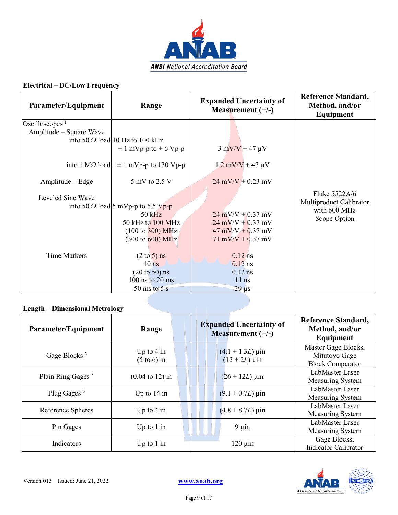

| Parameter/Equipment                                                                                                                                  | Range                                                                                                                                                                                                                                                                                                                                                                              | <b>Expanded Uncertainty of</b><br>Measurement $(+/-)$                                                                                                                                                                                                                                         | <b>Reference Standard,</b><br>Method, and/or<br>Equipment                |
|------------------------------------------------------------------------------------------------------------------------------------------------------|------------------------------------------------------------------------------------------------------------------------------------------------------------------------------------------------------------------------------------------------------------------------------------------------------------------------------------------------------------------------------------|-----------------------------------------------------------------------------------------------------------------------------------------------------------------------------------------------------------------------------------------------------------------------------------------------|--------------------------------------------------------------------------|
| Oscilloscopes <sup><math>1</math></sup><br>Amplitude – Square Wave<br>into 1 MΩ load<br>Amplitude – Edge<br>Leveled Sine Wave<br><b>Time Markers</b> | into 50 $\Omega$ load 10 Hz to 100 kHz<br>$\pm$ 1 mVp-p to $\pm$ 6 Vp-p<br>$\pm$ 1 mVp-p to 130 Vp-p<br>5 mV to 2.5 V<br>into 50 $\Omega$ load 5 mVp-p to 5.5 Vp-p<br>$50$ kHz<br>50 kHz to 100 MHz<br>$(100 \text{ to } 300) \text{ MHz}$<br>$(300 \text{ to } 600) \text{ MHz}$<br>$(2 \text{ to } 5)$ ns<br>10 <sub>ns</sub><br>$(20 \text{ to } 50)$ ns<br>$100$ ns to $20$ ms | $3 \text{ mV/V} + 47 \text{ }\mu\text{V}$<br>$1.2 \text{ mV/V} + 47 \text{ }\mu\text{V}$<br>$24$ mV/V + 0.23 mV<br>$24$ mV/V + 0.37 mV<br>$24$ mV/V + 0.37 mV<br>$47 \text{ mV/V} + 0.37 \text{ mV}$<br>$71 \text{ mV/V} + 0.37 \text{ mV}$<br>$0.12$ ns<br>$0.12$ ns<br>$0.12$ ns<br>$11$ ns | Fluke 5522A/6<br>Multiproduct Calibrator<br>with 600 MHz<br>Scope Option |
|                                                                                                                                                      | 50 ms to $5s$                                                                                                                                                                                                                                                                                                                                                                      | $29 \mu s$                                                                                                                                                                                                                                                                                    |                                                                          |

### **Length – Dimensional Metrology**

| Parameter/Equipment           | Range                                          | <b>Expanded Uncertainty of</b><br>Measurement $(+/-)$ | <b>Reference Standard,</b><br>Method, and/or<br>Equipment       |
|-------------------------------|------------------------------------------------|-------------------------------------------------------|-----------------------------------------------------------------|
| Gage Blocks $3$               | Up to $4 \text{ in}$<br>$(5 \text{ to } 6)$ in | $(4.1 + 1.3L) \,\mu$ in<br>$(12 + 2L) \,\mu$ in       | Master Gage Blocks,<br>Mitutoyo Gage<br><b>Block Comparator</b> |
| Plain Ring Gages <sup>3</sup> | $(0.04 \text{ to } 12)$ in                     | $(26 + 12L)$ µin                                      | LabMaster Laser<br>Measuring System                             |
| Plug Gages $3$                | Up to $14$ in                                  | $(9.1 + 0.7L)$ µin                                    | LabMaster Laser<br>Measuring System                             |
| Reference Spheres             | Up to $4 \text{ in}$                           | $(4.8 + 8.7L) \,\mu \text{in}$                        | LabMaster Laser<br>Measuring System                             |
| Pin Gages                     | Up to $1$ in                                   | $9 \mu$ in                                            | LabMaster Laser<br>Measuring System                             |
| Indicators                    | Up to $1$ in                                   | $120 \mu$ in                                          | Gage Blocks,<br><b>Indicator Calibrator</b>                     |

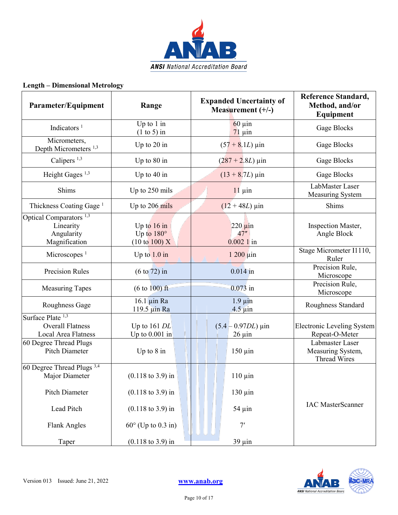

### **Length – Dimensional Metrology**

| Parameter/Equipment                                                            | Range                                                                  | <b>Expanded Uncertainty of</b><br>Measurement $(+/-)$ | <b>Reference Standard,</b><br>Method, and/or<br>Equipment |
|--------------------------------------------------------------------------------|------------------------------------------------------------------------|-------------------------------------------------------|-----------------------------------------------------------|
| Indicators $1$                                                                 | Up to $1 \text{ in}$<br>$(1 to 5)$ in                                  | $60 \mu$ in<br>$71 \mu$ in                            | Gage Blocks                                               |
| Micrometers,<br>Depth Micrometers <sup>1,3</sup>                               | Up to 20 in                                                            | $(57 + 8.1L)$ µin                                     | Gage Blocks                                               |
| Calipers <sup>1,3</sup>                                                        | Up to 80 in                                                            | $(287 + 2.8L) \,\mu \text{in}$                        | Gage Blocks                                               |
| Height Gages <sup>1,3</sup>                                                    | Up to $40$ in                                                          | $(13 + 8.7L) \,\mu \text{in}$                         | Gage Blocks                                               |
| Shims                                                                          | Up to 250 mils                                                         | $11 \mu$ in                                           | LabMaster Laser<br>Measuring System                       |
| Thickness Coating Gage <sup>1</sup>                                            | Up to 206 mils                                                         | $(12 + 48L)$ µin                                      | Shims                                                     |
| Optical Comparators <sup>1,3</sup><br>Linearity<br>Angularity<br>Magnification | Up to $16$ in<br>Up to $180^\circ$<br>$(10 \text{ to } 100) \text{ X}$ | $220 \mu$ in<br>47"<br>$0.0021$ in                    | Inspection Master,<br>Angle Block                         |
| Microscopes <sup>1</sup>                                                       | Up to $1.0$ in                                                         | $1200 \mu$ in                                         | Stage Micrometer I1110,<br>Ruler                          |
| <b>Precision Rules</b>                                                         | $(6 \text{ to } 72)$ in                                                | $0.014$ in                                            | Precision Rule,<br>Microscope                             |
| <b>Measuring Tapes</b>                                                         | $(6 \text{ to } 100) \text{ ft}$                                       | $0.073$ in                                            | Precision Rule,<br>Microscope                             |
| Roughness Gage                                                                 | $16.1 \mu$ in Ra<br>119.5 µin Ra                                       | $1.9 \mu$ in<br>$4.5 \mu$ in                          | Roughness Standard                                        |
| Surface Plate <sup>1,3</sup><br><b>Overall Flatness</b><br>Local Area Flatness | Up to $161$ DL<br>Up to $0.001$ in                                     | $(5.4 - 0.97DL) \,\mu \text{in}$<br>$26 \mu$ in       | <b>Electronic Leveling System</b><br>Repeat-O-Meter       |
| 60 Degree Thread Plugs<br>Pitch Diameter                                       | Up to $8$ in                                                           | $150 \mu$ in                                          | Labmaster Laser<br>Measuring System,<br>Thread Wires      |
| 60 Degree Thread Plugs <sup>3,4</sup><br>Major Diameter                        | $(0.118 \text{ to } 3.9) \text{ in}$                                   | $110 \mu$ in                                          |                                                           |
| Pitch Diameter                                                                 | $(0.118 \text{ to } 3.9) \text{ in}$                                   | $130 \mu$ in                                          |                                                           |
| Lead Pitch                                                                     | $(0.118 \text{ to } 3.9) \text{ in}$                                   | $54 \mu$ in                                           | <b>IAC</b> MasterScanner                                  |
| <b>Flank Angles</b>                                                            | $60^\circ$ (Up to 0.3 in)                                              | 7'                                                    |                                                           |
| Taper                                                                          | $(0.118 \text{ to } 3.9) \text{ in}$                                   | $39 \mu$ in                                           |                                                           |

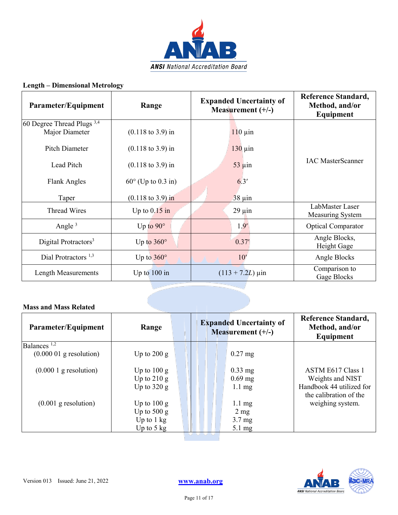

### **Length – Dimensional Metrology**

| Parameter/Equipment                                     | Range                                | <b>Expanded Uncertainty of</b><br>Measurement $(+/-)$ | <b>Reference Standard,</b><br>Method, and/or<br>Equipment |
|---------------------------------------------------------|--------------------------------------|-------------------------------------------------------|-----------------------------------------------------------|
| 60 Degree Thread Plugs <sup>3,4</sup><br>Major Diameter | $(0.118 \text{ to } 3.9) \text{ in}$ | $110 \mu$ in                                          |                                                           |
| Pitch Diameter                                          | $(0.118 \text{ to } 3.9) \text{ in}$ | $130 \mu$ in                                          |                                                           |
| Lead Pitch                                              | $(0.118 \text{ to } 3.9) \text{ in}$ | $53 \mu$ in                                           | <b>IAC MasterScanner</b>                                  |
| Flank Angles                                            | $60^{\circ}$ (Up to 0.3 in)          | 6.3'                                                  |                                                           |
| Taper                                                   | $(0.118 \text{ to } 3.9) \text{ in}$ | $38 \mu$ in                                           |                                                           |
| Thread Wires                                            | Up to $0.15$ in                      | $29 \mu$ in                                           | LabMaster Laser<br>Measuring System                       |
| Angle $3$                                               | Up to $90^\circ$                     | 1.9'                                                  | <b>Optical Comparator</b>                                 |
| Digital Protractors <sup>3</sup>                        | Up to $360^\circ$                    | 0.37'                                                 | Angle Blocks,<br>Height Gage                              |
| Dial Protractors <sup>1,3</sup>                         | Up to $360^\circ$                    | 10'                                                   | Angle Blocks                                              |
| Length Measurements                                     | Up to $100$ in                       | $(113 + 7.2L)$ µin                                    | Comparison to<br>Gage Blocks                              |
|                                                         |                                      |                                                       |                                                           |

| Parameter/Equipment       | Range                |                | <b>Expanded Uncertainty of</b><br>Measurement $(+/-)$ | <b>Reference Standard,</b><br>Method, and/or<br>Equipment |
|---------------------------|----------------------|----------------|-------------------------------------------------------|-----------------------------------------------------------|
| Balances <sup>1,2</sup>   |                      |                |                                                       |                                                           |
| $(0.000 01$ g resolution) | Up to $200 g$        |                | $0.27$ mg                                             |                                                           |
| $(0.0001)$ g resolution)  | Up to $100 g$        |                | $0.33$ mg                                             | ASTM E617 Class 1                                         |
|                           | Up to $210 g$        |                | $0.69$ mg                                             | Weights and NIST                                          |
|                           | Up to $320 g$        |                | $1.1 \text{ mg}$                                      | Handbook 44 utilized for<br>the calibration of the        |
| $(0.001$ g resolution)    | Up to $100 g$        |                | $1.1 \text{ mg}$                                      | weighing system.                                          |
|                           | Up to $500 g$        |                | $2 \text{ mg}$                                        |                                                           |
|                           | Up to $1 \text{ kg}$ |                | $3.7 \text{ mg}$                                      |                                                           |
|                           | Up to $5 \text{ kg}$ |                | $5.1 \text{ mg}$                                      |                                                           |
|                           |                      | سياسي المتعارض |                                                       |                                                           |

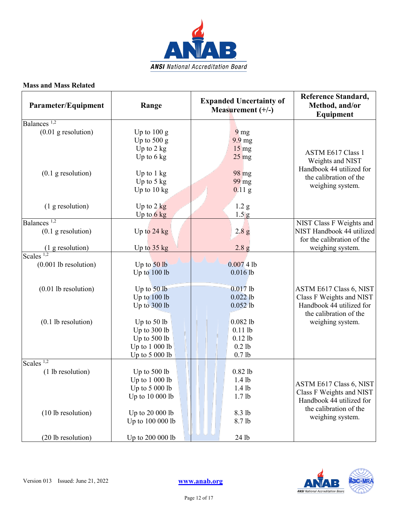

| Parameter/Equipment     | Range                 | <b>Expanded Uncertainty of</b><br>Measurement $(+/-)$ | <b>Reference Standard,</b><br>Method, and/or<br>Equipment |
|-------------------------|-----------------------|-------------------------------------------------------|-----------------------------------------------------------|
| Balances <sup>1,2</sup> |                       |                                                       |                                                           |
| $(0.01$ g resolution)   | Up to $100 g$         | 9 <sub>mg</sub>                                       |                                                           |
|                         | Up to $500 g$         | $9.9 \text{ mg}$                                      |                                                           |
|                         | Up to $2$ kg          | $15 \text{ mg}$                                       | <b>ASTM E617 Class 1</b>                                  |
|                         | Up to $6 \text{ kg}$  | $25 \text{ mg}$                                       | Weights and NIST                                          |
| $(0.1$ g resolution)    | Up to $1 \text{ kg}$  | 98 mg                                                 | Handbook 44 utilized for                                  |
|                         | Up to $5 \text{ kg}$  | 99 mg                                                 | the calibration of the                                    |
|                         | Up to $10 \text{ kg}$ | $0.11$ g                                              | weighing system.                                          |
|                         |                       |                                                       |                                                           |
| (1 g resolution)        | Up to $2 \text{ kg}$  | 1.2 <sub>g</sub>                                      |                                                           |
|                         | Up to $6 \text{ kg}$  | 1.5  <sub>g</sub>                                     |                                                           |
| Balances <sup>1,2</sup> |                       |                                                       | NIST Class F Weights and                                  |
| $(0.1$ g resolution)    | Up to $24$ kg         | 2.8 <sub>g</sub>                                      | NIST Handbook 44 utilized                                 |
|                         |                       |                                                       | for the calibration of the                                |
| (1 g resolution)        | Up to $35$ kg         | 2.8 <sub>g</sub>                                      | weighing system.                                          |
| Scales $\frac{1}{2}$    |                       |                                                       |                                                           |
| $(0.001$ lb resolution) | Up to $50$ lb         | 0.00741                                               |                                                           |
|                         | Up to 100 lb          | $0.016$ lb                                            |                                                           |
| $(0.01$ lb resolution)  | Up to $50$ lb         | $0.017$ lb                                            | ASTM E617 Class 6, NIST                                   |
|                         | Up to 100 lb          | $0.022$ lb                                            | Class F Weights and NIST                                  |
|                         | Up to 300 lb          | $0.052$ lb                                            | Handbook 44 utilized for<br>the calibration of the        |
| $(0.1$ lb resolution)   | Up to $50$ lb         | $0.082$ lb                                            | weighing system.                                          |
|                         | Up to 300 lb          | $0.11$ lb                                             |                                                           |
|                         | Up to 500 lb          | $0.12$ lb                                             |                                                           |
|                         | Up to 1 000 lb        | $0.2$ lb                                              |                                                           |
|                         | Up to 5 000 lb        | 0.7 <sub>lb</sub>                                     |                                                           |
| Scales $1,2$            |                       |                                                       |                                                           |
| (1 lb resolution)       | Up to 500 lb          | $0.82$ lb                                             |                                                           |
|                         | Up to $1000$ lb       | $1.4$ lb                                              | ASTM E617 Class 6, NIST                                   |
|                         | Up to 5 000 lb        | $1.4$ lb                                              | Class F Weights and NIST                                  |
|                         | Up to 10 000 lb       | 1.7 <sub>lb</sub>                                     | Handbook 44 utilized for                                  |
|                         |                       |                                                       | the calibration of the                                    |
| (10 lb resolution)      | Up to 20 000 lb       | 8.3 lb                                                | weighing system.                                          |
|                         | Up to 100 000 lb      | 8.7 lb                                                |                                                           |
| (20 lb resolution)      | Up to 200 000 lb      | 24 lb                                                 |                                                           |

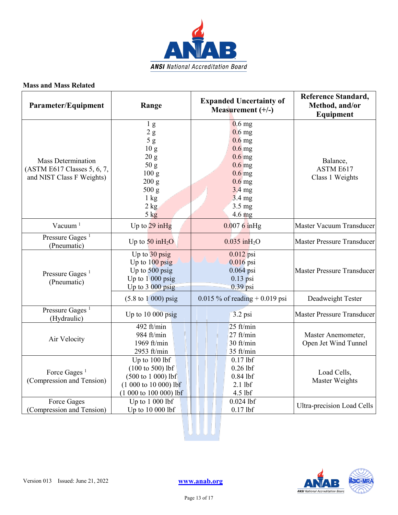

| Parameter/Equipment                                                                   | Range                                                                                                                                             | <b>Expanded Uncertainty of</b><br>Measurement $(+/-)$                                                                                                                | <b>Reference Standard,</b><br>Method, and/or<br>Equipment |
|---------------------------------------------------------------------------------------|---------------------------------------------------------------------------------------------------------------------------------------------------|----------------------------------------------------------------------------------------------------------------------------------------------------------------------|-----------------------------------------------------------|
| <b>Mass Determination</b><br>(ASTM E617 Classes 5, 6, 7,<br>and NIST Class F Weights) | 1 <sub>g</sub><br>$2\ \mathrm{g}$<br>5g<br>10 <sub>g</sub><br>20 g<br>50 g<br>100 g<br>200 g<br>500 g<br>$1 \text{ kg}$<br>2 kg<br>$5 \text{ kg}$ | $0.6$ mg<br>$0.6$ mg<br>$0.6$ mg<br>$0.6$ mg<br>$0.6$ mg<br>$0.6$ mg<br>$0.6$ mg<br>$0.6$ mg<br>$3.4$ mg<br>$3.4 \text{ mg}$<br>$3.5 \text{ mg}$<br>$4.6 \text{ mg}$ | Balance,<br>ASTM E617<br>Class 1 Weights                  |
| Vacuum <sup>1</sup>                                                                   | Up to $29$ in Hg                                                                                                                                  | $0.0076$ in Hg                                                                                                                                                       | Master Vacuum Transducer                                  |
| Pressure Gages <sup>1</sup><br>(Pneumatic)                                            | Up to $50$ in $H_2O$                                                                                                                              | $0.035$ in $H2O$                                                                                                                                                     | <b>Master Pressure Transducer</b>                         |
| Pressure Gages <sup>1</sup><br>(Pneumatic)                                            | Up to 30 psig<br>Up to $100$ psig<br>Up to $500$ psig<br>Up to $1\,000$ psig<br>Up to 3 000 psig                                                  | $0.012$ psi<br>0.016 psi<br>$0.064$ psi<br>$0.13$ psi<br>$0.39$ psi                                                                                                  | <b>Master Pressure Transducer</b>                         |
|                                                                                       | $(5.8 \text{ to } 1000) \text{ psig}$                                                                                                             | $0.015 \%$ of reading + 0.019 psi                                                                                                                                    | Deadweight Tester                                         |
| Pressure Gages <sup>1</sup><br>(Hydraulic)                                            | Up to $10000$ psig                                                                                                                                | 3.2 psi                                                                                                                                                              | <b>Master Pressure Transducer</b>                         |
| Air Velocity                                                                          | 492 ft/min<br>984 ft/min<br>1969 ft/ $min$<br>2953 ft/min                                                                                         | $25$ ft/min<br>27 ft/min<br>30 ft/min<br>35 ft/min                                                                                                                   | Master Anemometer,<br>Open Jet Wind Tunnel                |
| Force Gages <sup>1</sup><br>(Compression and Tension)                                 | Up to 100 lbf<br>$(100 \text{ to } 500)$ lbf<br>$(500 \text{ to } 1000)$ lbf<br>$(1000 to 10000)$ lbf<br>$(1000 to 100000)$ lbf                   | $0.17$ lbf<br>$0.26$ lbf<br>$0.84$ lbf<br>$2.1$ lbf<br>4.5 lbf                                                                                                       | Load Cells,<br>Master Weights                             |
| Force Gages<br>(Compression and Tension)                                              | Up to $1000$ lbf<br>Up to 10 000 lbf                                                                                                              | $0.024$ lbf<br>$0.17$ lbf                                                                                                                                            | Ultra-precision Load Cells                                |
|                                                                                       |                                                                                                                                                   |                                                                                                                                                                      |                                                           |



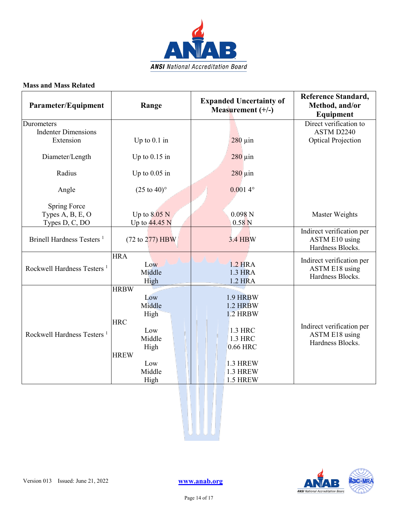

| Parameter/Equipment                    | Range                                                                                                               | <b>Expanded Uncertainty of</b><br>Measurement $(+/-)$                                                         | <b>Reference Standard,</b><br>Method, and/or<br><b>Equipment</b> |
|----------------------------------------|---------------------------------------------------------------------------------------------------------------------|---------------------------------------------------------------------------------------------------------------|------------------------------------------------------------------|
| Durometers                             |                                                                                                                     |                                                                                                               | Direct verification to                                           |
| <b>Indenter Dimensions</b>             |                                                                                                                     |                                                                                                               | ASTM D2240                                                       |
| Extension                              | Up to $0.1$ in                                                                                                      | $280 \mu$ in                                                                                                  | <b>Optical Projection</b>                                        |
| Diameter/Length                        | Up to $0.15$ in                                                                                                     | $280 \,\mathrm{\upmu}$ in                                                                                     |                                                                  |
| Radius                                 | Up to $0.05$ in                                                                                                     | $280 \mu$ in                                                                                                  |                                                                  |
| Angle                                  | $(25 \text{ to } 40)^{\circ}$                                                                                       | $0.0014^{\circ}$                                                                                              |                                                                  |
| <b>Spring Force</b>                    |                                                                                                                     |                                                                                                               |                                                                  |
| Types A, B, E, O                       | Up to $8.05$ N                                                                                                      | 0.098N                                                                                                        | Master Weights                                                   |
| Types D, C, DO                         | Up to $44.45$ N                                                                                                     | 0.58 <sub>N</sub>                                                                                             |                                                                  |
| Brinell Hardness Testers <sup>1</sup>  | (72 to 277) HBW                                                                                                     | 3.4 HBW                                                                                                       | Indirect verification per<br>ASTM E10 using<br>Hardness Blocks.  |
| Rockwell Hardness Testers <sup>1</sup> | <b>HRA</b><br>Low<br>Middle<br>High                                                                                 | <b>1.2 HRA</b><br>1.3 HRA<br><b>1.2 HRA</b>                                                                   | Indirect verification per<br>ASTM E18 using<br>Hardness Blocks.  |
| Rockwell Hardness Testers <sup>1</sup> | <b>HRBW</b><br>Low<br>Middle<br>High<br><b>HRC</b><br>Low<br>Middle<br>High<br><b>HREW</b><br>Low<br>Middle<br>High | 1.9 HRBW<br>1.2 HRBW<br><b>1.2 HRBW</b><br>1.3 HRC<br>1.3 HRC<br>0.66 HRC<br>1.3 HREW<br>1.3 HREW<br>1.5 HREW | Indirect verification per<br>ASTM E18 using<br>Hardness Blocks.  |





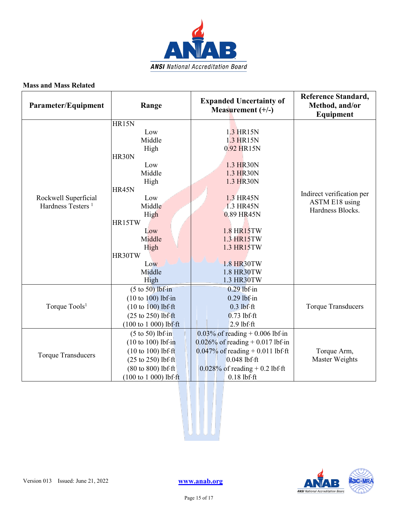

| Parameter/Equipment                                   | Range                                 | <b>Expanded Uncertainty of</b><br>Measurement $(+/-)$ | <b>Reference Standard,</b><br>Method, and/or<br>Equipment |
|-------------------------------------------------------|---------------------------------------|-------------------------------------------------------|-----------------------------------------------------------|
|                                                       | HR15N                                 |                                                       |                                                           |
|                                                       | Low                                   | 1.3 HR15N                                             |                                                           |
|                                                       | Middle                                | 1.3 HR15N                                             |                                                           |
|                                                       | High                                  | 0.92 HR15N                                            |                                                           |
|                                                       | <b>HR30N</b>                          |                                                       |                                                           |
|                                                       | Low                                   | 1.3 HR30N                                             |                                                           |
|                                                       | Middle                                | 1.3 HR30N                                             |                                                           |
|                                                       | High                                  | 1.3 HR30N                                             |                                                           |
|                                                       | HR45N                                 |                                                       | Indirect verification per                                 |
| Rockwell Superficial<br>Hardness Testers <sup>1</sup> | Low<br>Middle                         | 1.3 HR45N<br>1.3 HR45N                                | ASTM E18 using                                            |
|                                                       | High                                  | 0.89 HR45N                                            | Hardness Blocks.                                          |
|                                                       | HR15TW                                |                                                       |                                                           |
|                                                       | Low                                   | 1.8 HR15TW                                            |                                                           |
|                                                       | Middle                                | 1.3 HR15TW                                            |                                                           |
|                                                       | High                                  | 1.3 HR15TW                                            |                                                           |
|                                                       | HR30TW                                |                                                       |                                                           |
|                                                       | Low                                   | 1.8 HR30TW                                            |                                                           |
|                                                       | Middle                                | 1.8 HR30TW                                            |                                                           |
|                                                       | High                                  | 1.3 HR30TW                                            |                                                           |
|                                                       | $(5 \text{ to } 50)$ lbf·in           | $0.29$ lbf·in                                         |                                                           |
|                                                       | $(10 to 100)$ lbf·in                  | $0.29$ lbf·in                                         |                                                           |
| Torque Tools <sup>1</sup>                             | $(10 to 100)$ lbf·ft                  | $0.3$ lbf $\cdot$ ft                                  | <b>Torque Transducers</b>                                 |
|                                                       | $(25 \text{ to } 250)$ lbf $\cdot$ ft | $0.73$ lbf $\cdot$ ft                                 |                                                           |
|                                                       | $(100 \text{ to } 1000)$ lbf·ft       | $2.9$ lbf $\cdot$ ft                                  |                                                           |
|                                                       | $(5 \text{ to } 50)$ lbf·in           | $0.03\%$ of reading + 0.006 lbf·in                    |                                                           |
|                                                       | $(10 to 100)$ lbf·in                  | $0.026\%$ of reading + 0.017 lbf·in                   |                                                           |
|                                                       | $(10 to 100)$ lbf $\cdot$ ft          | $0.047\%$ of reading + 0.011 lbf ft                   | Torque Arm,                                               |
| <b>Torque Transducers</b>                             | $(25 \text{ to } 250)$ lbf·ft         | $0.048$ lbf $\cdot$ ft                                | Master Weights                                            |
|                                                       | $(80 \text{ to } 800)$ lbf $\cdot$ ft | $0.028\%$ of reading + 0.2 lbf ft                     |                                                           |
|                                                       | $(100 to 1 000)$ lbf ft               | $0.18$ lbf $\cdot$ ft                                 |                                                           |





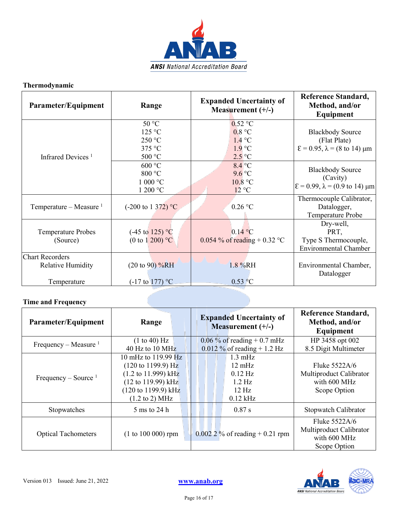

### **Thermodynamic**

| Parameter/Equipment                                        | Range                                                   | <b>Expanded Uncertainty of</b><br>Measurement $(+/-)$                        | Reference Standard,<br>Method, and/or<br>Equipment                                                                 |
|------------------------------------------------------------|---------------------------------------------------------|------------------------------------------------------------------------------|--------------------------------------------------------------------------------------------------------------------|
| Infrared Devices <sup>1</sup>                              | 50 °C<br>125 °C<br>250 °C<br>375 °C<br>500 °C           | $0.52$ °C<br>0.8 °C<br>$1.4 \text{ °C}$<br>$1.9^{\circ}C$<br>$2.5^{\circ}$ C | <b>Blackbody Source</b><br>(Flat Plate)<br>$\epsilon$ = 0.95, $\lambda$ = (8 to 14) $\mu$ m                        |
|                                                            | 600 °C<br>800 °C<br>$1000 \degree C$<br>1 200 °C        | $8.4\degree$ C<br>$9.6$ °C<br>10.8 °C<br>12 °C                               | <b>Blackbody Source</b><br>(Cavity)<br>$\mathcal{E} = 0.99$ , $\lambda = (0.9 \text{ to } 14) \text{ }\mu\text{m}$ |
| Temperature – Measure $1$                                  | $(-200 \text{ to } 1 \frac{372}{} )$ °C                 | $0.26$ °C                                                                    | Thermocouple Calibrator,<br>Datalogger,<br>Temperature Probe                                                       |
| <b>Temperature Probes</b><br>(Source)                      | $(-45 \text{ to } 125)$ °C<br>(0 to 1 200) $^{\circ}C$  | $0.14\text{ °C}$<br>$0.054$ % of reading + 0.32 °C                           | Dry-well,<br>PRT,<br>Type S Thermocouple,<br><b>Environmental Chamber</b>                                          |
| <b>Chart Recorders</b><br>Relative Humidity<br>Temperature | $(20 \text{ to } 90)$ %RH<br>$(-17 \text{ to } 177)$ °C | $1.8\%RH$<br>$0.53$ °C                                                       | Environmental Chamber,<br>Datalogger                                                                               |

### **Time and Frequency**

| Parameter/Equipment        | Range                                  | <b>Expanded Uncertainty of</b><br>Measurement $(+/-)$ | <b>Reference Standard,</b><br>Method, and/or<br>Equipment                |
|----------------------------|----------------------------------------|-------------------------------------------------------|--------------------------------------------------------------------------|
| Frequency – Measure $1$    | (1 to 40) Hz                           | $0.06\%$ of reading + 0.7 mHz                         | HP 3458 opt 002                                                          |
|                            | 40 Hz to 10 MHz                        | $0.012\%$ of reading + 1.2 Hz                         | 8.5 Digit Multimeter                                                     |
|                            | 10 mHz to 119.99 Hz                    | $1.3 \text{ mHz}$                                     |                                                                          |
|                            | $(120 \text{ to } 1199.9) \text{ Hz}$  | $12 \text{ mHz}$                                      | Fluke $5522A/6$                                                          |
|                            | $(1.2 \text{ to } 11.999) \text{ kHz}$ | $0.12$ Hz                                             | Multiproduct Calibrator                                                  |
| Frequency – Source $1$     | $(12 \text{ to } 119.99) \text{ kHz}$  | $1.2 \text{ Hz}$                                      | with 600 MHz                                                             |
|                            | $(120 \text{ to } 1199.9) \text{ kHz}$ | $12 \text{ Hz}$                                       | Scope Option                                                             |
|                            | $(1.2 \text{ to } 2) \text{ MHz}$      | $0.12$ kHz                                            |                                                                          |
| Stopwatches                | 5 ms to 24 h                           | 0.87 s                                                | Stopwatch Calibrator                                                     |
| <b>Optical Tachometers</b> | $(1 to 100 000)$ rpm                   | $0.0022\%$ of reading + 0.21 rpm                      | Fluke 5522A/6<br>Multiproduct Calibrator<br>with 600 MHz<br>Scope Option |

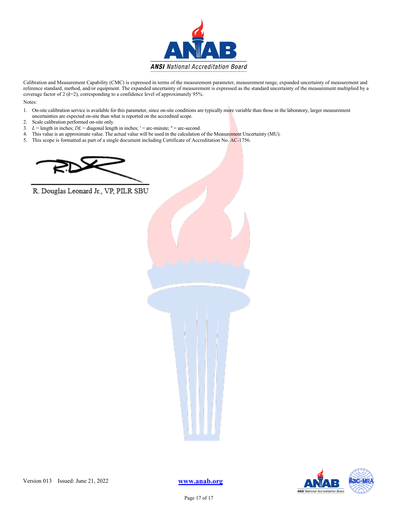

Calibration and Measurement Capability (CMC) is expressed in terms of the measurement parameter, measurement range, expanded uncertainty of measurement and reference standard, method, and/or equipment. The expanded uncertainty of measurement is expressed as the standard uncertainty of the measurement multiplied by a coverage factor of 2 (*k*=2), corresponding to a confidence level of approximately 95%.

Notes:

- 1. On-site calibration service is available for this parameter, since on-site conditions are typically more variable than those in the laboratory, larger measurement uncertainties are expected on-site than what is reported on the accredited scope.
- 2. Scale calibration performed on-site only.
- 3.  $L =$  length in inches;  $DL =$  diagonal length in inches;  $' =$  arc-minute;  $'' =$  arc-second.
- 4. This value is an approximate value. The actual value will be used in the calculation of the Measurement Uncertainty (MU).
- 5. This scope is formatted as part of a single document including Certificate of Accreditation No. AC-1756.



R. Douglas Leonard Jr., VP, PILR SBU





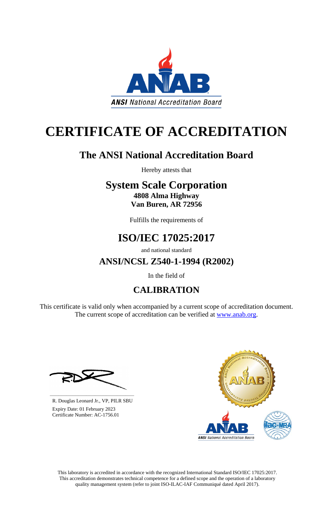

# **CERTIFICATE OF ACCREDITATION**

## **The ANSI National Accreditation Board**

Hereby attests that

### **System Scale Corporation 4808 Alma Highway Van Buren, AR 72956**

Fulfills the requirements of

## **ISO/IEC 17025:2017**

and national standard

**ANSI/NCSL Z540-1-1994 (R2002)**

In the field of

## **CALIBRATION**

This certificate is valid only when accompanied by a current scope of accreditation document. The current scope of accreditation can be verified at [www.anab.org.](http://www.anab.org/)







**\_\_\_\_\_\_\_\_\_\_\_\_\_\_\_\_\_\_\_\_\_\_\_\_\_\_\_\_\_\_** R. Douglas Leonard Jr., VP, PILR SBU

 Expiry Date: 01 February 2023 Certificate Number: AC-1756.01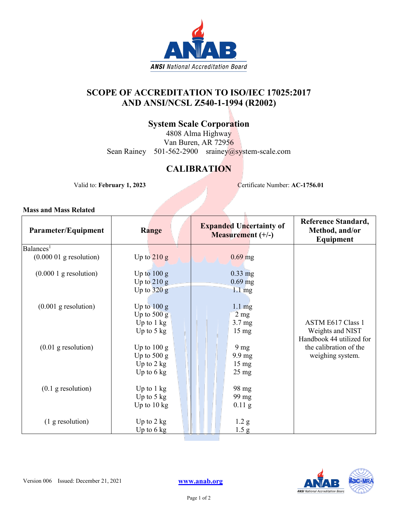

### **SCOPE OF ACCREDITATION TO ISO/IEC 17025:2017 AND ANSI/NCSL Z540-1-1994 (R2002)**

### **System Scale Corporation**

4808 Alma Highway Van Buren, AR 72956 Sean Rainey 501-562-2900 srainey@system-scale.com

### **CALIBRATION**

Valid to: **February 1, 2023** Certificate Number: **AC-1756.01** 

ĥ.

| Parameter/Equipment       | Range                 | <b>Expanded Uncertainty of</b><br>Measurement (+/-) | Reference Standard,<br>Method, and/or<br>Equipment |
|---------------------------|-----------------------|-----------------------------------------------------|----------------------------------------------------|
| Balances <sup>1</sup>     |                       |                                                     |                                                    |
| $(0.000 01$ g resolution) | Up to $210 g$         | $0.69$ mg                                           |                                                    |
| $(0.0001)$ g resolution)  | Up to $100 g$         | $0.33$ mg                                           |                                                    |
|                           | Up to $210 g$         | $0.69$ mg                                           |                                                    |
|                           | Up to $320 g$         | $1.1 \text{ mg}$                                    |                                                    |
|                           |                       |                                                     |                                                    |
| $(0.001$ g resolution)    | Up to $100 g$         | $1.1 \text{ mg}$                                    |                                                    |
|                           | Up to $500 g$         | $2 \text{ mg}$                                      |                                                    |
|                           | Up to $1 \text{ kg}$  | 3.7 <sub>mg</sub>                                   | <b>ASTM E617 Class 1</b>                           |
|                           | Up to $5 \text{ kg}$  | $15 \text{ mg}$                                     | Weights and NIST                                   |
|                           |                       |                                                     | Handbook 44 utilized for                           |
| $(0.01$ g resolution)     | Up to $100 g$         | 9 <sub>mg</sub>                                     | the calibration of the                             |
|                           | Up to $500 g$         | $9.9 \text{ mg}$                                    | weighing system.                                   |
|                           | Up to $2$ kg          | $15 \text{ mg}$                                     |                                                    |
|                           | Up to $6 \text{ kg}$  | $25 \text{ mg}$                                     |                                                    |
|                           |                       |                                                     |                                                    |
| $(0.1$ g resolution)      | Up to $1 \text{ kg}$  | 98 mg                                               |                                                    |
|                           | Up to $5 \text{ kg}$  | 99 mg                                               |                                                    |
|                           | Up to $10 \text{ kg}$ | $0.11$ g                                            |                                                    |
|                           |                       |                                                     |                                                    |
| $(1$ g resolution)        | Up to $2 \text{ kg}$  | 1.2 <sub>g</sub>                                    |                                                    |
|                           | Up to $6 \text{ kg}$  | 1.5 g                                               |                                                    |
|                           |                       |                                                     |                                                    |

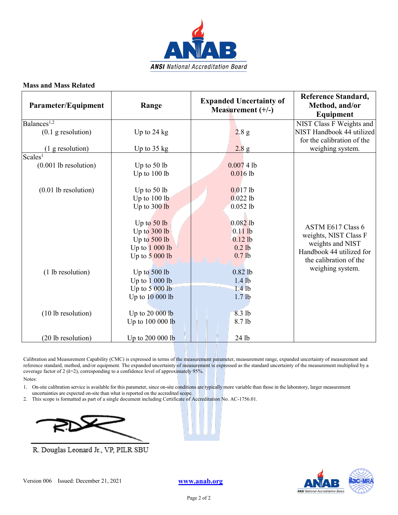

| Parameter/Equipment     | Range                 | <b>Expanded Uncertainty of</b><br>Measurement $(+/-)$ | <b>Reference Standard,</b><br>Method, and/or<br>Equipment |
|-------------------------|-----------------------|-------------------------------------------------------|-----------------------------------------------------------|
| Balances <sup>1,2</sup> |                       |                                                       | NIST Class F Weights and                                  |
| $(0.1$ g resolution)    | Up to $24$ kg         | 2.8 g                                                 | NIST Handbook 44 utilized                                 |
|                         |                       |                                                       | for the calibration of the                                |
| (1 g resolution)        | Up to $35 \text{ kg}$ | 2.8 g                                                 | weighing system.                                          |
| Scales <sup>1</sup>     |                       |                                                       |                                                           |
| $(0.001$ lb resolution) | Up to $50$ lb         | 0.00741                                               |                                                           |
|                         | Up to $100$ lb        | $0.016$ lb                                            |                                                           |
| $(0.01$ lb resolution)  | Up to $50$ lb         | $0.017$ lb                                            |                                                           |
|                         | Up to 100 lb          | $0.022$ lb                                            |                                                           |
|                         | Up to 300 lb          | $0.052$ lb                                            |                                                           |
|                         |                       |                                                       |                                                           |
|                         | Up to $50$ lb         | $0.082$ lb                                            |                                                           |
|                         | Up to 300 lb          | $0.11$ lb                                             | ASTM E617 Class 6                                         |
|                         | Up to 500 lb          | $0.12$ lb                                             | weights, NIST Class F                                     |
|                         | Up to 1 000 lb        | $0.2$ lb                                              | weights and NIST                                          |
|                         | Up to $5000$ lb       | 0.7 <sub>lb</sub>                                     | Handbook 44 utilized for<br>the calibration of the        |
| (1 lb resolution)       | Up to 500 lb          | $0.82$ lb                                             | weighing system.                                          |
|                         | Up to $1000$ lb       | $1.4$ lb                                              |                                                           |
|                         | Up to $5000$ lb       | $1.4$ lb                                              |                                                           |
|                         | Up to 10 000 lb       | 1.7 <sub>lb</sub>                                     |                                                           |
|                         |                       |                                                       |                                                           |
| (10 lb resolution)      | Up to 20 000 lb       | 8.3 lb                                                |                                                           |
|                         | Up to 100 000 lb      | 8.7 lb                                                |                                                           |
| (20 lb resolution)      | Up to 200 000 lb      | 24 lb                                                 |                                                           |

Calibration and Measurement Capability (CMC) is expressed in terms of the measurement parameter, measurement range, expanded uncertainty of measurement and reference standard, method, and/or equipment. The expanded uncertainty of measurement is expressed as the standard uncertainty of the measurement multiplied by a coverage factor of 2 (*k*=2), corresponding to a confidence level of approximately 95%.

Notes:

- 1. On-site calibration service is available for this parameter, since on-site conditions are typically more variable than those in the laboratory, larger measurement uncertainties are expected on-site than what is reported on the accredited scope.
- 2. This scope is formatted as part of a single document including Certificate of Accreditation No. AC-1756.01.



R. Douglas Leonard Jr., VP, PILR SBU

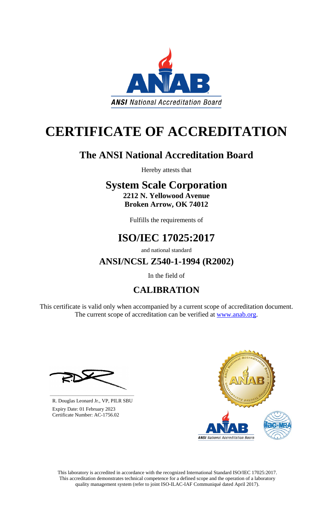

# **CERTIFICATE OF ACCREDITATION**

## **The ANSI National Accreditation Board**

Hereby attests that

## **System Scale Corporation 2212 N. Yellowood Avenue**

**Broken Arrow, OK 74012**

Fulfills the requirements of

## **ISO/IEC 17025:2017**

and national standard

**ANSI/NCSL Z540-1-1994 (R2002)**

In the field of

## **CALIBRATION**

This certificate is valid only when accompanied by a current scope of accreditation document. The current scope of accreditation can be verified at [www.anab.org.](http://www.anab.org/)







**\_\_\_\_\_\_\_\_\_\_\_\_\_\_\_\_\_\_\_\_\_\_\_\_\_\_\_\_\_\_** R. Douglas Leonard Jr., VP, PILR SBU

 Expiry Date: 01 February 2023 Certificate Number: AC-1756.02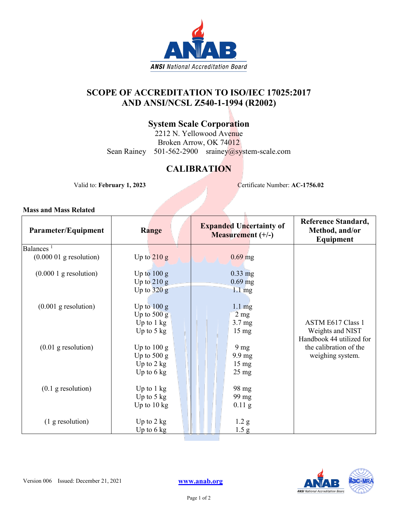

### **SCOPE OF ACCREDITATION TO ISO/IEC 17025:2017 AND ANSI/NCSL Z540-1-1994 (R2002)**

### **System Scale Corporation**

2212 N. Yellowood Avenue Broken Arrow, OK 74012 Sean Rainey 501-562-2900 srainey@system-scale.com

### **CALIBRATION**

Valid to: **February 1, 2023** Certificate Number: **AC-1756.02** 

ĥ.

| Parameter/Equipment                | Range                 | <b>Expanded Uncertainty of</b><br>Measurement (+/-) | Reference Standard,<br>Method, and/or<br>Equipment |
|------------------------------------|-----------------------|-----------------------------------------------------|----------------------------------------------------|
| Balances <sup><math>1</math></sup> |                       |                                                     |                                                    |
| $(0.000 01$ g resolution)          | Up to $210 g$         | $0.69$ mg                                           |                                                    |
| $(0.0001)$ g resolution)           | Up to $100 g$         | $0.33$ mg                                           |                                                    |
|                                    | Up to $210 g$         | $0.69$ mg                                           |                                                    |
|                                    | Up to $320 g$         | $1.1 \text{ mg}$                                    |                                                    |
|                                    |                       |                                                     |                                                    |
| $(0.001$ g resolution)             | Up to $100 g$         | $1.1 \text{ mg}$                                    |                                                    |
|                                    | Up to $500 g$         | $2 \text{ mg}$                                      |                                                    |
|                                    | Up to $1 \text{ kg}$  | 3.7 <sub>mg</sub>                                   | <b>ASTM E617 Class 1</b>                           |
|                                    | Up to $5 \text{ kg}$  | $15 \text{ mg}$                                     | Weights and NIST                                   |
|                                    |                       |                                                     | Handbook 44 utilized for                           |
| $(0.01$ g resolution)              | Up to $100 g$         | 9 <sub>mg</sub>                                     | the calibration of the                             |
|                                    | Up to $500 g$         | $9.9 \text{ mg}$                                    | weighing system.                                   |
|                                    | Up to $2$ kg          | $15 \text{ mg}$                                     |                                                    |
|                                    | Up to $6 \text{ kg}$  | $25 \text{ mg}$                                     |                                                    |
|                                    |                       |                                                     |                                                    |
| $(0.1$ g resolution)               | Up to $1 \text{ kg}$  | 98 mg                                               |                                                    |
|                                    | Up to $5 \text{ kg}$  | 99 mg                                               |                                                    |
|                                    | Up to $10 \text{ kg}$ | $0.11$ g                                            |                                                    |
|                                    |                       |                                                     |                                                    |
| $(1$ g resolution)                 | Up to $2 \text{ kg}$  | 1.2 <sub>g</sub>                                    |                                                    |
|                                    | Up to $6 \text{ kg}$  | 1.5 g                                               |                                                    |

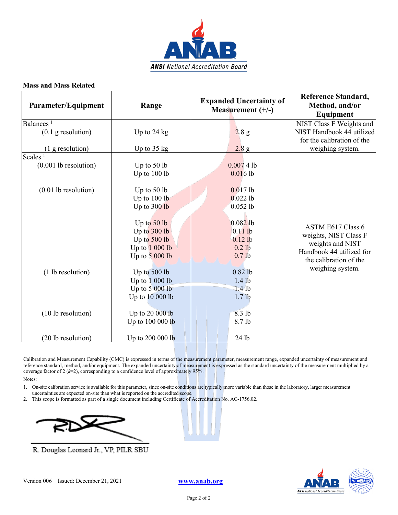

| Parameter/Equipment     | Range                 | <b>Expanded Uncertainty of</b><br>Measurement $(+/-)$ | <b>Reference Standard,</b><br>Method, and/or<br>Equipment |
|-------------------------|-----------------------|-------------------------------------------------------|-----------------------------------------------------------|
| Balances <sup>1</sup>   |                       |                                                       | NIST Class F Weights and                                  |
| $(0.1$ g resolution)    | Up to $24$ kg         | 2.8 g                                                 | NIST Handbook 44 utilized                                 |
|                         |                       |                                                       | for the calibration of the                                |
| (1 g resolution)        | Up to $35 \text{ kg}$ | 2.8 g                                                 | weighing system.                                          |
| Scales <sup>1</sup>     |                       |                                                       |                                                           |
| $(0.001$ lb resolution) | Up to $50$ lb         | 0.00741                                               |                                                           |
|                         | Up to 100 lb          | 0.0161                                                |                                                           |
| $(0.01$ lb resolution)  | Up to $50$ lb         | $0.017$ lb                                            |                                                           |
|                         | Up to $100$ lb        | $0.022$ lb                                            |                                                           |
|                         | Up to 300 lb          | $0.052$ lb                                            |                                                           |
|                         |                       |                                                       |                                                           |
|                         | Up to $50$ lb         | $0.082$ lb                                            | ASTM E617 Class 6                                         |
|                         | Up to 300 lb          | $0.11$ lb                                             | weights, NIST Class F                                     |
|                         | Up to $500$ lb        | $0.12$ lb                                             | weights and NIST                                          |
|                         | Up to $1000$ lb       | $0.2$ lb                                              | Handbook 44 utilized for                                  |
|                         | Up to $5000$ lb       | 0.7 <sub>lb</sub>                                     | the calibration of the                                    |
| (1 lb resolution)       | Up to 500 lb          | $0.82$ lb                                             | weighing system.                                          |
|                         | Up to $1000$ lb       | $1.4$ lb                                              |                                                           |
|                         | Up to $5000$ lb       | $1.4$ lb                                              |                                                           |
|                         | Up to 10 000 lb       | $1.7$ lb                                              |                                                           |
| (10 lb resolution)      | Up to 20 000 lb       | 8.3 lb                                                |                                                           |
|                         | Up to 100 000 lb      | 8.7 lb                                                |                                                           |
|                         |                       |                                                       |                                                           |
| (20 lb resolution)      | Up to 200 000 lb      | 24 lb                                                 |                                                           |

Calibration and Measurement Capability (CMC) is expressed in terms of the measurement parameter, measurement range, expanded uncertainty of measurement and reference standard, method, and/or equipment. The expanded uncertainty of measurement is expressed as the standard uncertainty of the measurement multiplied by a coverage factor of 2 (*k*=2), corresponding to a confidence level of approximately 95%.

Notes:

- 1. On-site calibration service is available for this parameter, since on-site conditions are typically more variable than those in the laboratory, larger measurement uncertainties are expected on-site than what is reported on the accredited scope.
- 2. This scope is formatted as part of a single document including Certificate of Accreditation No. AC-1756.02.



R. Douglas Leonard Jr., VP, PILR SBU

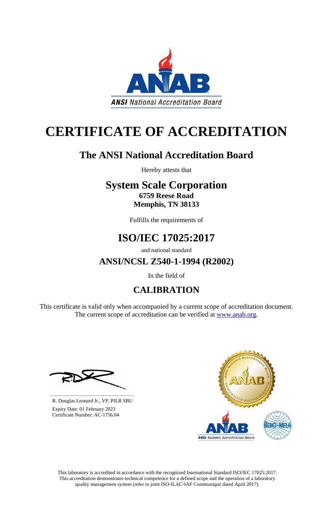

# **CERTIFICATE OF ACCREDITATION**

## **The ANSI National Accreditation Board**

Hereby attests that

### **System Scale Corporation 6759 Reese Road Memphis, TN 38133**

Fulfills the requirements of

## **ISO/IEC 17025:2017**

and national standard

**ANSI/NCSL Z540-1-1994 (R2002)**

In the field of

## **CALIBRATION**

This certificate is valid only when accompanied by a current scope of accreditation document. The current scope of accreditation can be verified at [www.anab.org.](http://www.anab.org/)







**\_\_\_\_\_\_\_\_\_\_\_\_\_\_\_\_\_\_\_\_\_\_\_\_\_\_\_\_\_\_** R. Douglas Leonard Jr., VP, PILR SBU

 Expiry Date: 01 February 2023 Certificate Number: AC-1756.04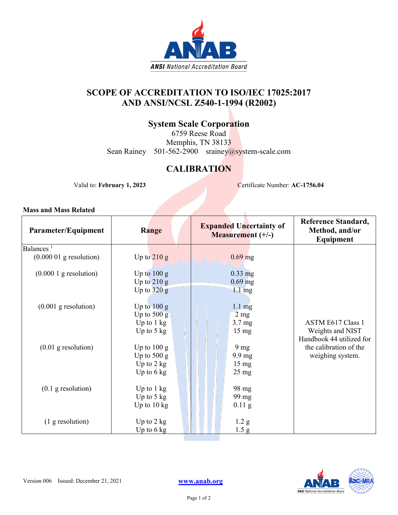

### **SCOPE OF ACCREDITATION TO ISO/IEC 17025:2017 AND ANSI/NCSL Z540-1-1994 (R2002)**

### **System Scale Corporation**

6759 Reese Road Memphis, TN 38133 Sean Rainey 501-562-2900 srainey@system-scale.com

### **CALIBRATION**

Valid to: **February 1, 2023** Certificate Number: **AC-1756.04** 

ĥ.

| Parameter/Equipment       | Range                 | <b>Expanded Uncertainty of</b><br>Measurement (+/-) | <b>Reference Standard,</b><br>Method, and/or<br>Equipment |
|---------------------------|-----------------------|-----------------------------------------------------|-----------------------------------------------------------|
| Balances <sup>1</sup>     |                       |                                                     |                                                           |
| $(0.000 01$ g resolution) | Up to $210 g$         | $0.69$ mg                                           |                                                           |
| $(0.0001)$ g resolution)  | Up to $100 g$         | $0.33$ mg                                           |                                                           |
|                           | Up to $210 g$         | $0.69$ mg                                           |                                                           |
|                           | Up to $320 g$         | $1.1 \text{ mg}$                                    |                                                           |
|                           |                       |                                                     |                                                           |
| $(0.001$ g resolution)    | Up to $100 g$         | $1.1 \text{ mg}$                                    |                                                           |
|                           | Up to $500 g$         | $2 \text{ mg}$                                      |                                                           |
|                           | Up to $1 \text{ kg}$  | 3.7 <sub>mg</sub>                                   | <b>ASTM E617 Class 1</b>                                  |
|                           | Up to $5 \text{ kg}$  | $15 \text{ mg}$                                     | Weights and NIST                                          |
|                           |                       |                                                     | Handbook 44 utilized for                                  |
| $(0.01$ g resolution)     | Up to $100 g$         | 9 <sub>mg</sub>                                     | the calibration of the                                    |
|                           | Up to $500 g$         | $9.9 \text{ mg}$                                    | weighing system.                                          |
|                           | Up to $2 \text{ kg}$  | $15 \text{ mg}$                                     |                                                           |
|                           | Up to $6 \text{ kg}$  | $25 \text{ mg}$                                     |                                                           |
|                           |                       |                                                     |                                                           |
| $(0.1$ g resolution)      | Up to 1 kg            | 98 mg                                               |                                                           |
|                           | Up to $5 \text{ kg}$  | 99 mg                                               |                                                           |
|                           | Up to $10 \text{ kg}$ | $0.11$ g                                            |                                                           |
| $(1$ g resolution)        | Up to $2 \text{ kg}$  | 1.2 <sub>g</sub>                                    |                                                           |
|                           | Up to $6 \text{ kg}$  | 1.5 <sub>g</sub>                                    |                                                           |
|                           |                       |                                                     |                                                           |

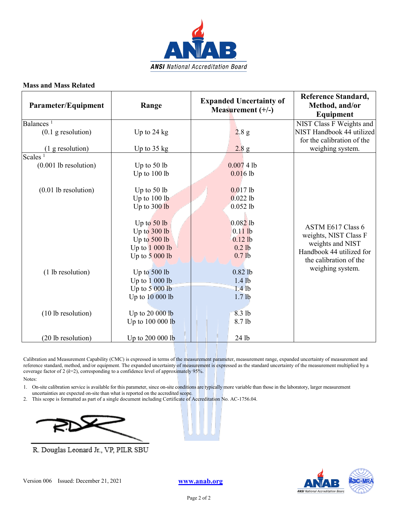

| Parameter/Equipment              | Range                 | <b>Expanded Uncertainty of</b><br>Measurement $(+/-)$ | <b>Reference Standard,</b><br>Method, and/or<br>Equipment |
|----------------------------------|-----------------------|-------------------------------------------------------|-----------------------------------------------------------|
| Balances <sup>1</sup>            |                       |                                                       | NIST Class F Weights and                                  |
| $(0.1$ g resolution)             | Up to $24$ kg         | 2.8 g                                                 | NIST Handbook 44 utilized                                 |
|                                  |                       |                                                       | for the calibration of the                                |
| (1 g resolution)                 | Up to $35 \text{ kg}$ | 2.8 g                                                 | weighing system.                                          |
| Scales <sup><math>1</math></sup> |                       |                                                       |                                                           |
| $(0.001$ lb resolution)          | Up to $50$ lb         | 0.00741                                               |                                                           |
|                                  | Up to $100$ lb        | $0.016$ lb                                            |                                                           |
| $(0.01$ lb resolution)           | Up to $50$ lb         | $0.017$ lb                                            |                                                           |
|                                  | Up to 100 lb          | $0.022$ lb                                            |                                                           |
|                                  | Up to 300 lb          | $0.052$ lb                                            |                                                           |
|                                  |                       |                                                       |                                                           |
|                                  | Up to $50$ lb         | $0.082$ lb                                            | ASTM E617 Class 6                                         |
|                                  | Up to 300 lb          | $0.11$ lb                                             | weights, NIST Class F                                     |
|                                  | Up to 500 lb          | $0.12$ lb                                             | weights and NIST                                          |
|                                  | Up to 1 000 lb        | $0.2$ lb                                              | Handbook 44 utilized for                                  |
|                                  | Up to $5000$ lb       | 0.7 <sub>lb</sub>                                     | the calibration of the                                    |
| (1 lb resolution)                | Up to 500 lb          | $0.82$ lb                                             | weighing system.                                          |
|                                  | Up to $1000$ lb       | $1.4$ lb                                              |                                                           |
|                                  | Up to $5000$ lb       | $1.4$ lb                                              |                                                           |
|                                  | Up to 10 000 lb       | 1.7 <sub>lb</sub>                                     |                                                           |
| (10 lb resolution)               | Up to 20 000 lb       | 8.3 lb                                                |                                                           |
|                                  | Up to 100 000 lb      | 8.7 lb                                                |                                                           |
|                                  |                       |                                                       |                                                           |
| (20 lb resolution)               | Up to 200 000 lb      | 24 lb                                                 |                                                           |

Calibration and Measurement Capability (CMC) is expressed in terms of the measurement parameter, measurement range, expanded uncertainty of measurement and reference standard, method, and/or equipment. The expanded uncertainty of measurement is expressed as the standard uncertainty of the measurement multiplied by a coverage factor of 2 (*k*=2), corresponding to a confidence level of approximately 95%.

Notes:

- 1. On-site calibration service is available for this parameter, since on-site conditions are typically more variable than those in the laboratory, larger measurement uncertainties are expected on-site than what is reported on the accredited scope.
- 2. This scope is formatted as part of a single document including Certificate of Accreditation No. AC-1756.04.



R. Douglas Leonard Jr., VP, PILR SBU

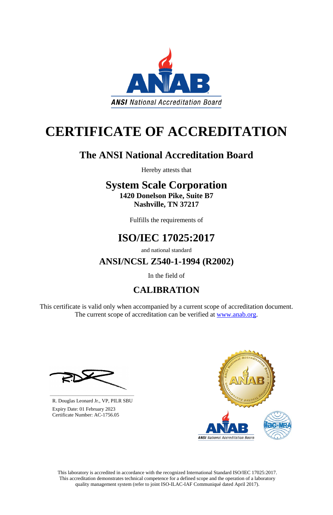

# **CERTIFICATE OF ACCREDITATION**

## **The ANSI National Accreditation Board**

Hereby attests that

### **System Scale Corporation 1420 Donelson Pike, Suite B7 Nashville, TN 37217**

Fulfills the requirements of

## **ISO/IEC 17025:2017**

and national standard

**ANSI/NCSL Z540-1-1994 (R2002)**

In the field of

## **CALIBRATION**

This certificate is valid only when accompanied by a current scope of accreditation document. The current scope of accreditation can be verified at [www.anab.org.](http://www.anab.org/)







**\_\_\_\_\_\_\_\_\_\_\_\_\_\_\_\_\_\_\_\_\_\_\_\_\_\_\_\_\_\_** R. Douglas Leonard Jr., VP, PILR SBU

 Expiry Date: 01 February 2023 Certificate Number: AC-1756.05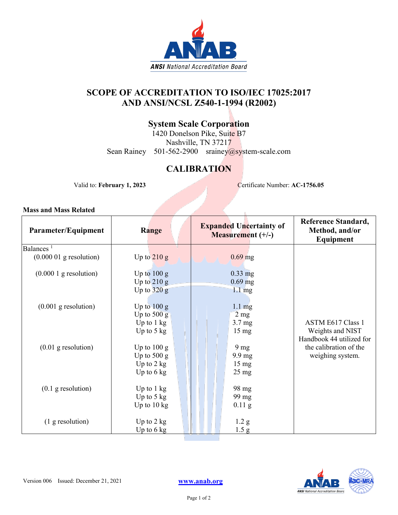

### **SCOPE OF ACCREDITATION TO ISO/IEC 17025:2017 AND ANSI/NCSL Z540-1-1994 (R2002)**

### **System Scale Corporation**

1420 Donelson Pike, Suite B7 Nashville, TN 37217 Sean Rainey 501-562-2900 srainey@system-scale.com

### **CALIBRATION**

Valid to: **February 1, 2023** Certificate Number: **AC-1756.05** 

b.

| Parameter/Equipment       | Range                 | <b>Expanded Uncertainty of</b><br>Measurement (+/-) | <b>Reference Standard,</b><br>Method, and/or<br>Equipment |
|---------------------------|-----------------------|-----------------------------------------------------|-----------------------------------------------------------|
| Balances <sup>1</sup>     |                       |                                                     |                                                           |
| $(0.000 01$ g resolution) | Up to $210 g$         | $0.69$ mg                                           |                                                           |
| $(0.0001)$ g resolution)  | Up to $100 g$         | $0.33$ mg                                           |                                                           |
|                           | Up to $210 g$         | $0.69$ mg                                           |                                                           |
|                           | Up to $320 g$         | $1.1 \text{ mg}$                                    |                                                           |
|                           |                       |                                                     |                                                           |
| $(0.001$ g resolution)    | Up to $100 g$         | $1.1 \text{ mg}$                                    |                                                           |
|                           | Up to $500 g$         | $2 \text{ mg}$                                      |                                                           |
|                           | Up to $1 \text{ kg}$  | 3.7 <sub>mg</sub>                                   | <b>ASTM E617 Class 1</b>                                  |
|                           | Up to $5 \text{ kg}$  | $15 \text{ mg}$                                     | Weights and NIST                                          |
|                           |                       |                                                     | Handbook 44 utilized for                                  |
| $(0.01$ g resolution)     | Up to $100 g$         | 9 <sub>mg</sub>                                     | the calibration of the                                    |
|                           | Up to $500 g$         | $9.9 \text{ mg}$                                    | weighing system.                                          |
|                           | Up to $2 \text{ kg}$  | $15 \text{ mg}$                                     |                                                           |
|                           | Up to $6 \text{ kg}$  | $25 \text{ mg}$                                     |                                                           |
|                           |                       |                                                     |                                                           |
| $(0.1$ g resolution)      | Up to 1 kg            | 98 mg                                               |                                                           |
|                           | Up to $5 \text{ kg}$  | 99 mg                                               |                                                           |
|                           | Up to $10 \text{ kg}$ | $0.11$ g                                            |                                                           |
| $(1$ g resolution)        | Up to $2 \text{ kg}$  | 1.2 <sub>g</sub>                                    |                                                           |
|                           | Up to $6 \text{ kg}$  | 1.5 <sub>g</sub>                                    |                                                           |
|                           |                       |                                                     |                                                           |

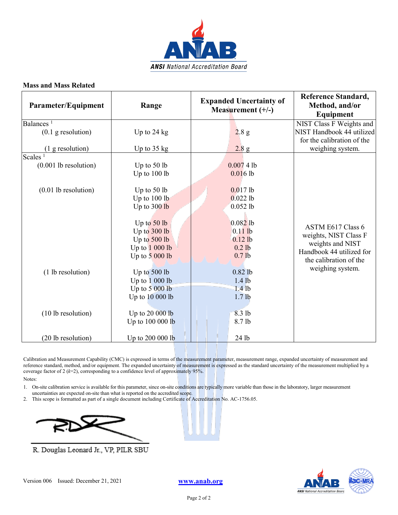

| Parameter/Equipment              | Range                 | <b>Expanded Uncertainty of</b><br>Measurement $(+/-)$ | <b>Reference Standard,</b><br>Method, and/or<br>Equipment |
|----------------------------------|-----------------------|-------------------------------------------------------|-----------------------------------------------------------|
| Balances <sup>1</sup>            |                       |                                                       | NIST Class F Weights and                                  |
| $(0.1$ g resolution)             | Up to $24$ kg         | 2.8 g                                                 | NIST Handbook 44 utilized                                 |
|                                  |                       |                                                       | for the calibration of the                                |
| (1 g resolution)                 | Up to $35 \text{ kg}$ | 2.8 g                                                 | weighing system.                                          |
| Scales <sup><math>1</math></sup> |                       |                                                       |                                                           |
| $(0.001$ lb resolution)          | Up to $50$ lb         | 0.00741                                               |                                                           |
|                                  | Up to $100$ lb        | $0.016$ lb                                            |                                                           |
| $(0.01$ lb resolution)           | Up to $50$ lb         | $0.017$ lb                                            |                                                           |
|                                  | Up to 100 lb          | $0.022$ lb                                            |                                                           |
|                                  | Up to 300 lb          | $0.052$ lb                                            |                                                           |
|                                  |                       |                                                       |                                                           |
|                                  | Up to $50$ lb         | $0.082$ lb                                            | ASTM E617 Class 6                                         |
|                                  | Up to 300 lb          | $0.11$ lb                                             | weights, NIST Class F                                     |
|                                  | Up to 500 lb          | $0.12$ lb                                             | weights and NIST                                          |
|                                  | Up to 1 000 lb        | $0.2$ lb                                              | Handbook 44 utilized for                                  |
|                                  | Up to $5000$ lb       | 0.7 <sub>lb</sub>                                     | the calibration of the                                    |
| (1 lb resolution)                | Up to 500 lb          | $0.82$ lb                                             | weighing system.                                          |
|                                  | Up to $1000$ lb       | $1.4$ lb                                              |                                                           |
|                                  | Up to $5000$ lb       | $1.4$ lb                                              |                                                           |
|                                  | Up to 10 000 lb       | 1.7 <sub>lb</sub>                                     |                                                           |
| (10 lb resolution)               | Up to 20 000 lb       | 8.3 lb                                                |                                                           |
|                                  | Up to 100 000 lb      | 8.7 lb                                                |                                                           |
|                                  |                       |                                                       |                                                           |
| (20 lb resolution)               | Up to 200 000 lb      | 24 lb                                                 |                                                           |

Calibration and Measurement Capability (CMC) is expressed in terms of the measurement parameter, measurement range, expanded uncertainty of measurement and reference standard, method, and/or equipment. The expanded uncertainty of measurement is expressed as the standard uncertainty of the measurement multiplied by a coverage factor of 2 (*k*=2), corresponding to a confidence level of approximately 95%.

Notes:

- 1. On-site calibration service is available for this parameter, since on-site conditions are typically more variable than those in the laboratory, larger measurement uncertainties are expected on-site than what is reported on the accredited scope.
- 2. This scope is formatted as part of a single document including Certificate of Accreditation No. AC-1756.05.



R. Douglas Leonard Jr., VP, PILR SBU

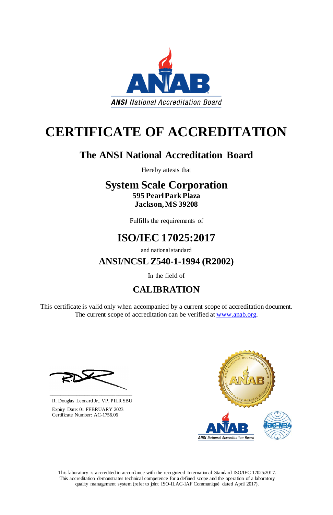This certificate is valid only when accompanied by a current scope of accreditation document. The current scope of accreditation can be verified at [www.anab.org.](http://www.anab.org/)









# **CERTIFICATE OF ACCREDITATION**

## **The ANSI National Accreditation Board**

Hereby attests that

### **System Scale Corporation 595 Pearl Park Plaza Jackson, MS 39208**

Fulfills the requirements of

## **ISO/IEC 17025:2017**

and national standard

**ANSI/NCSL Z540-1-1994 (R2002)**

In the field of

## **CALIBRATION**

**\_\_\_\_\_\_\_\_\_\_\_\_\_\_\_\_\_\_\_\_\_\_\_\_\_\_\_\_\_\_**

 R. Douglas Leonard Jr., VP, PILR SBU Expiry Date: 01 FEBRUARY 2023 Certificate Number: AC-1756.06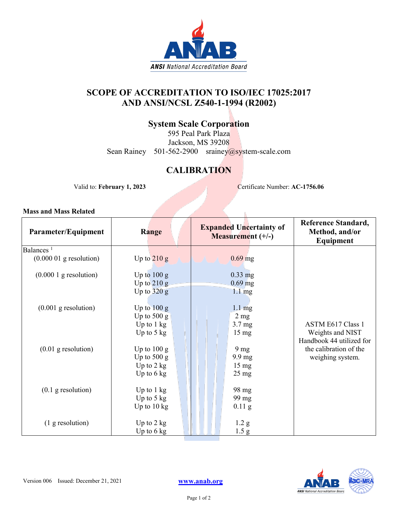

### **SCOPE OF ACCREDITATION TO ISO/IEC 17025:2017 AND ANSI/NCSL Z540-1-1994 (R2002)**

### **System Scale Corporation**

595 Peal Park Plaza Jackson, MS 39208 Sean Rainey 501-562-2900 srainey@system-scale.com

### **CALIBRATION**

Valid to: **February 1, 2023** Certificate Number: **AC-1756.06** 

ĥ.

| Parameter/Equipment                | Range                 | <b>Expanded Uncertainty of</b><br><b>Measurement</b> $(+/-)$ | Reference Standard,<br>Method, and/or<br>Equipment |
|------------------------------------|-----------------------|--------------------------------------------------------------|----------------------------------------------------|
| Balances <sup><math>1</math></sup> |                       |                                                              |                                                    |
| $(0.000 01$ g resolution)          | Up to $210 g$         | $0.69$ mg                                                    |                                                    |
| $(0.0001)$ g resolution)           | Up to $100 g$         | $0.33$ mg                                                    |                                                    |
|                                    | Up to $210 g$         | $0.69$ mg                                                    |                                                    |
|                                    | Up to $320 g$         | $1.1 \text{ mg}$                                             |                                                    |
|                                    |                       |                                                              |                                                    |
| $(0.001$ g resolution)             | Up to $100 g$         | $1.1 \text{ mg}$                                             |                                                    |
|                                    | Up to $500 g$         | $2 \text{ mg}$                                               |                                                    |
|                                    | Up to $1 \text{ kg}$  | $3.7 \text{ mg}$                                             | <b>ASTM E617 Class 1</b>                           |
|                                    | Up to $5 \text{ kg}$  | $15 \text{ mg}$                                              | Weights and NIST                                   |
|                                    |                       |                                                              | Handbook 44 utilized for                           |
| $(0.01$ g resolution)              | Up to $100 g$         | 9 <sub>mg</sub>                                              | the calibration of the                             |
|                                    | Up to $500 g$         | $9.9 \text{ mg}$                                             | weighing system.                                   |
|                                    | Up to $2$ kg          | $15 \text{ mg}$                                              |                                                    |
|                                    | Up to $6 \text{ kg}$  | $25 \text{ mg}$                                              |                                                    |
|                                    |                       |                                                              |                                                    |
| $(0.1$ g resolution)               | Up to $1 \text{ kg}$  | 98 mg                                                        |                                                    |
|                                    | Up to $5 \text{ kg}$  | 99 mg                                                        |                                                    |
|                                    | Up to $10 \text{ kg}$ | $0.11$ g                                                     |                                                    |
|                                    |                       |                                                              |                                                    |
| (1 g resolution)                   | Up to $2 \text{ kg}$  | 1.2 <sub>g</sub>                                             |                                                    |
|                                    | Up to $6$ kg          | 1.5 <sub>g</sub>                                             |                                                    |

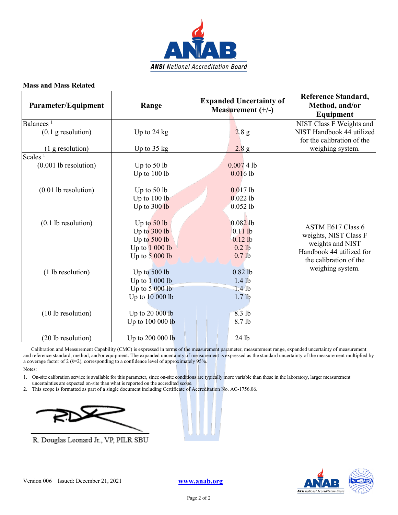

| Parameter/Equipment              | Range                 | <b>Expanded Uncertainty of</b><br>Measurement $(+/-)$ | Reference Standard,<br>Method, and/or<br>Equipment |
|----------------------------------|-----------------------|-------------------------------------------------------|----------------------------------------------------|
| Balances <sup>1</sup>            |                       |                                                       | NIST Class F Weights and                           |
| $(0.1$ g resolution)             | Up to $24$ kg         | 2.8 g                                                 | NIST Handbook 44 utilized                          |
|                                  |                       |                                                       | for the calibration of the                         |
| $(1$ g resolution)               | Up to $35 \text{ kg}$ | 2.8 g                                                 | weighing system.                                   |
| Scales <sup><math>1</math></sup> |                       |                                                       |                                                    |
| $(0.001$ lb resolution)          | Up to $50$ lb         | 0.00741                                               |                                                    |
|                                  | Up to 100 lb          | 0.0161                                                |                                                    |
| $(0.01$ lb resolution)           | Up to $50$ lb         | $0.017$ lb                                            |                                                    |
|                                  | Up to 100 lb          | $0.022$ lb                                            |                                                    |
|                                  | Up to 300 lb          | $0.052$ lb                                            |                                                    |
|                                  |                       |                                                       |                                                    |
| $(0.1$ lb resolution)            | Up to $50$ lb         | $0.082$ lb                                            | ASTM E617 Class 6                                  |
|                                  | Up to 300 lb          | $0.11$ lb                                             | weights, NIST Class F                              |
|                                  | Up to 500 lb          | $0.12$ lb                                             | weights and NIST                                   |
|                                  | Up to $1000$ lb       | $0.2$ lb                                              | Handbook 44 utilized for                           |
|                                  | Up to $5000$ lb       | 0.7 <sub>lb</sub>                                     | the calibration of the                             |
| (1 lb resolution)                | Up to 500 lb          | $0.82$ lb                                             | weighing system.                                   |
|                                  | Up to $1000$ lb       | $1.4$ lb                                              |                                                    |
|                                  | Up to $5000$ lb       | $1.4$ lb                                              |                                                    |
|                                  | Up to 10 000 lb       | 1.7 <sub>lb</sub>                                     |                                                    |
| (10 lb resolution)               | Up to 20 000 lb       | 8.3 lb                                                |                                                    |
|                                  | Up to 100 000 lb      | 8.7 lb                                                |                                                    |
| (20 lb resolution)               | Up to 200 000 lb      | 24 lb                                                 |                                                    |

 Calibration and Measurement Capability (CMC) is expressed in terms of the measurement parameter, measurement range, expanded uncertainty of measurement and reference standard, method, and/or equipment. The expanded uncertainty of measurement is expressed as the standard uncertainty of the measurement multiplied by a coverage factor of 2 (*k*=2), corresponding to a confidence level of approximately 95%.

Notes:

1. On-site calibration service is available for this parameter, since on-site conditions are typically more variable than those in the laboratory, larger measurement uncertainties are expected on-site than what is reported on the accredited scope.

2. This scope is formatted as part of a single document including Certificate of Accreditation No. AC-1756.06.



R. Douglas Leonard Jr., VP, PILR SBU



Version 006 Issued: December 21, 2021 **[www.anab.org](http://anab.org/)**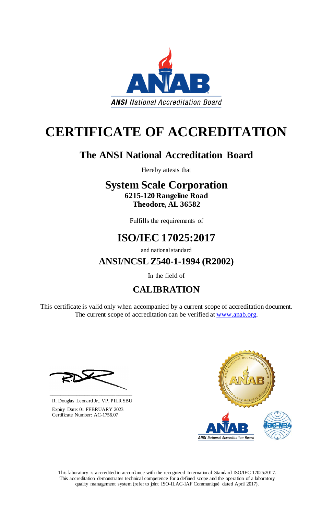This certificate is valid only when accompanied by a current scope of accreditation document. The current scope of accreditation can be verified at [www.anab.org.](http://www.anab.org/)









# **CERTIFICATE OF ACCREDITATION**

## **The ANSI National Accreditation Board**

Hereby attests that

### **System Scale Corporation 6215-120 Rangeline Road Theodore, AL 36582**

Fulfills the requirements of

## **ISO/IEC 17025:2017**

and national standard

**ANSI/NCSL Z540-1-1994 (R2002)**

In the field of

## **CALIBRATION**

**\_\_\_\_\_\_\_\_\_\_\_\_\_\_\_\_\_\_\_\_\_\_\_\_\_\_\_\_\_\_**

 R. Douglas Leonard Jr., VP, PILR SBU Expiry Date: 01 FEBRUARY 2023 Certificate Number: AC-1756.07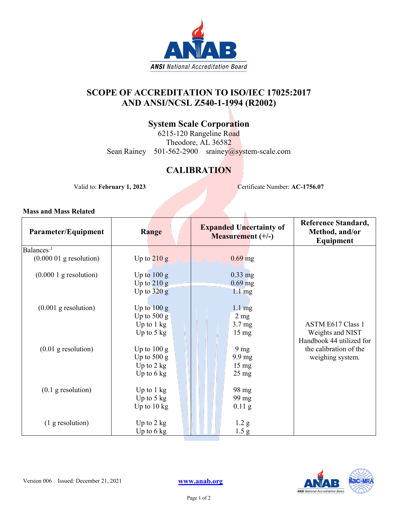

### **SCOPE OF ACCREDITATION TO ISO/IEC 17025:2017 AND ANSI/NCSL Z540-1-1994 (R2002)**

### **System Scale Corporation**

6215-120 Rangeline Road Theodore, AL 36582 Sean Rainey 501-562-2900 srainey@system-scale.com

### **CALIBRATION**

Valid to: **February 1, 2023** Certificate Number: **AC-1756.07** 

| Parameter/Equipment       | Range                 | <b>Expanded Uncertainty of</b><br><b>Measurement</b> $(+/-)$ | Reference Standard,<br>Method, and/or<br>Equipment |
|---------------------------|-----------------------|--------------------------------------------------------------|----------------------------------------------------|
| Balances <sup>1</sup>     |                       |                                                              |                                                    |
| $(0.000 01$ g resolution) | Up to $210 g$         | $0.69$ mg                                                    |                                                    |
| $(0.0001)$ g resolution)  | Up to $100 g$         | $0.33$ mg                                                    |                                                    |
|                           | Up to $210 g$         | $0.69$ mg                                                    |                                                    |
|                           | Up to $320 g$         | $1.1 \text{ mg}$                                             |                                                    |
| $(0.001$ g resolution)    | Up to $100 g$         | $1.1 \text{ mg}$                                             |                                                    |
|                           | Up to $500 \text{ g}$ | $2$ mg                                                       |                                                    |
|                           | Up to $1 \text{ kg}$  | $3.7 \text{ mg}$                                             | <b>ASTM E617 Class 1</b>                           |
|                           | Up to $5 \text{ kg}$  | $15 \text{ mg}$                                              | Weights and NIST                                   |
|                           |                       |                                                              | Handbook 44 utilized for                           |
| $(0.01$ g resolution)     | Up to $100 g$         | 9 <sub>mg</sub>                                              | the calibration of the                             |
|                           | Up to $500 g$         | $9.9 \text{ mg}$                                             | weighing system.                                   |
|                           | Up to $2$ kg          | $15 \text{ mg}$                                              |                                                    |
|                           | Up to $6 \text{ kg}$  | $25 \text{ mg}$                                              |                                                    |
|                           |                       |                                                              |                                                    |
| $(0.1$ g resolution)      | Up to $1 \text{ kg}$  | 98 mg                                                        |                                                    |
|                           | Up to $5 \text{ kg}$  | 99 mg                                                        |                                                    |
|                           | Up to $10 \text{ kg}$ | $0.11$ g                                                     |                                                    |
|                           |                       |                                                              |                                                    |
| $(1$ g resolution)        | Up to $2 \text{ kg}$  | 1.2 <sub>g</sub>                                             |                                                    |
|                           | Up to $6 \text{ kg}$  | 1.5 <sub>g</sub>                                             |                                                    |

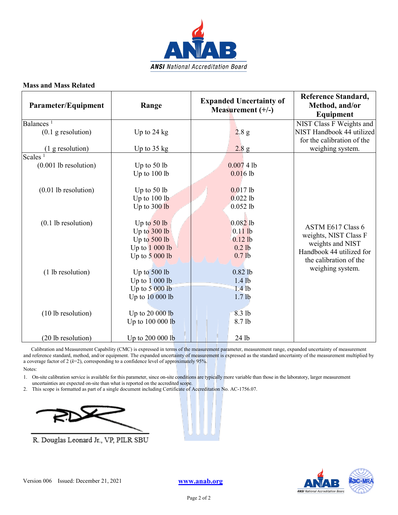

| Parameter/Equipment              | Range                 | <b>Expanded Uncertainty of</b><br>Measurement $(+/-)$ | Reference Standard,<br>Method, and/or<br>Equipment |
|----------------------------------|-----------------------|-------------------------------------------------------|----------------------------------------------------|
| Balances <sup>1</sup>            |                       |                                                       | NIST Class F Weights and                           |
| $(0.1$ g resolution)             | Up to $24$ kg         | 2.8 g                                                 | NIST Handbook 44 utilized                          |
|                                  |                       |                                                       | for the calibration of the                         |
| $(1$ g resolution)               | Up to $35 \text{ kg}$ | 2.8 g                                                 | weighing system.                                   |
| Scales <sup><math>1</math></sup> |                       |                                                       |                                                    |
| $(0.001$ lb resolution)          | Up to $50$ lb         | 0.00741                                               |                                                    |
|                                  | Up to 100 lb          | 0.0161                                                |                                                    |
| $(0.01$ lb resolution)           | Up to $50$ lb         | $0.017$ lb                                            |                                                    |
|                                  | Up to 100 lb          | $0.022$ lb                                            |                                                    |
|                                  | Up to 300 lb          | $0.052$ lb                                            |                                                    |
|                                  |                       |                                                       |                                                    |
| $(0.1$ lb resolution)            | Up to $50$ lb         | $0.082$ lb                                            | ASTM E617 Class 6                                  |
|                                  | Up to 300 lb          | $0.11$ lb                                             | weights, NIST Class F                              |
|                                  | Up to 500 lb          | $0.12$ lb                                             | weights and NIST                                   |
|                                  | Up to $1000$ lb       | $0.2$ lb                                              | Handbook 44 utilized for                           |
|                                  | Up to $5000$ lb       | 0.7 <sub>lb</sub>                                     | the calibration of the                             |
| (1 lb resolution)                | Up to 500 lb          | $0.82$ lb                                             | weighing system.                                   |
|                                  | Up to $1000$ lb       | $1.4$ lb                                              |                                                    |
|                                  | Up to $5000$ lb       | $1.4$ lb                                              |                                                    |
|                                  | Up to 10 000 lb       | 1.7 <sub>lb</sub>                                     |                                                    |
| (10 lb resolution)               | Up to 20 000 lb       | 8.3 lb                                                |                                                    |
|                                  | Up to 100 000 lb      | 8.7 lb                                                |                                                    |
| (20 lb resolution)               | Up to 200 000 lb      | 24 lb                                                 |                                                    |

 Calibration and Measurement Capability (CMC) is expressed in terms of the measurement parameter, measurement range, expanded uncertainty of measurement and reference standard, method, and/or equipment. The expanded uncertainty of measurement is expressed as the standard uncertainty of the measurement multiplied by a coverage factor of 2 (*k*=2), corresponding to a confidence level of approximately 95%.

Notes:

1. On-site calibration service is available for this parameter, since on-site conditions are typically more variable than those in the laboratory, larger measurement uncertainties are expected on-site than what is reported on the accredited scope.

2. This scope is formatted as part of a single document including Certificate of Accreditation No. AC-1756.07.



R. Douglas Leonard Jr., VP, PILR SBU

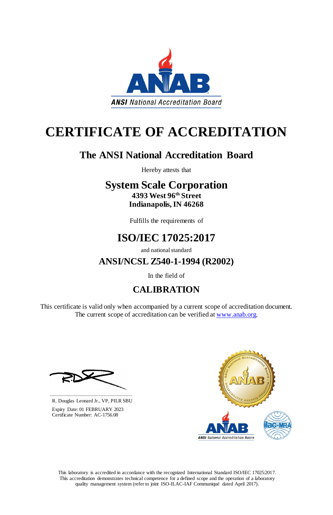This certificate is valid only when accompanied by a current scope of accreditation document. The current scope of accreditation can be verified at [www.anab.org.](http://www.anab.org/)









# **CERTIFICATE OF ACCREDITATION**

## **The ANSI National Accreditation Board**

Hereby attests that

### **System Scale Corporation 4393 West 96th Street Indianapolis, IN 46268**

Fulfills the requirements of

## **ISO/IEC 17025:2017**

and national standard

**ANSI/NCSL Z540-1-1994 (R2002)**

In the field of

## **CALIBRATION**

**\_\_\_\_\_\_\_\_\_\_\_\_\_\_\_\_\_\_\_\_\_\_\_\_\_\_\_\_\_\_**

 R. Douglas Leonard Jr., VP, PILR SBU Expiry Date: 01 FEBRUARY 2023 Certificate Number: AC-1756.08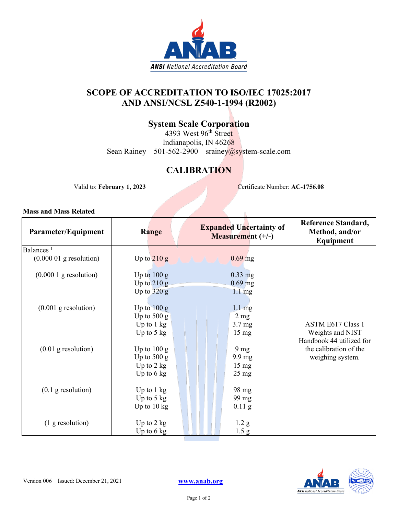

### **SCOPE OF ACCREDITATION TO ISO/IEC 17025:2017 AND ANSI/NCSL Z540-1-1994 (R2002)**

### **System Scale Corporation**

4393 West 96<sup>th</sup> Stree<mark>t</mark> Indianapolis, IN 46268 Sean Rainey 501-562-2900 srainey@system-scale.com

### **CALIBRATION**

Valid to: **February 1, 2023** Certificate Number: **AC-1756.08**

ĥ.

| Parameter/Equipment                | Range                 | <b>Expanded Uncertainty of</b><br><b>Measurement</b> $(+/-)$ | <b>Reference Standard,</b><br>Method, and/or<br>Equipment |
|------------------------------------|-----------------------|--------------------------------------------------------------|-----------------------------------------------------------|
| Balances <sup><math>1</math></sup> |                       |                                                              |                                                           |
| $(0.000 01$ g resolution)          | Up to $210 g$         | $0.69$ mg                                                    |                                                           |
| $(0.0001)$ g resolution)           | Up to $100 g$         | $0.33$ mg                                                    |                                                           |
|                                    | Up to $210 g$         | $0.69$ mg                                                    |                                                           |
|                                    | Up to $320 g$         | $1.1 \text{ mg}$                                             |                                                           |
| $(0.001$ g resolution)             | Up to $100 g$         | $1.1 \text{ mg}$                                             |                                                           |
|                                    | Up to $500 g$         | 2 <sub>mg</sub>                                              |                                                           |
|                                    | Up to 1 kg            | $3.7 \text{ mg}$                                             | <b>ASTM E617 Class 1</b>                                  |
|                                    | Up to $5 \text{ kg}$  | $15 \text{ mg}$                                              | Weights and NIST                                          |
|                                    |                       |                                                              | Handbook 44 utilized for                                  |
| $(0.01$ g resolution)              | Up to $100 g$         | 9 <sub>mg</sub>                                              | the calibration of the                                    |
|                                    | Up to $500 g$         | 9.9 mg                                                       | weighing system.                                          |
|                                    | Up to $2$ kg          | $15 \text{ mg}$                                              |                                                           |
|                                    | Up to $6 \text{ kg}$  | $25 \text{ mg}$                                              |                                                           |
|                                    |                       |                                                              |                                                           |
| $(0.1$ g resolution)               | Up to $1 \text{ kg}$  | 98 mg                                                        |                                                           |
|                                    | Up to $5 \text{ kg}$  | 99 mg                                                        |                                                           |
|                                    | Up to $10 \text{ kg}$ | $0.11$ g                                                     |                                                           |
|                                    |                       |                                                              |                                                           |
| (1 g resolution)                   | Up to $2 \text{ kg}$  | 1.2 <sub>g</sub>                                             |                                                           |
|                                    | Up to $6$ kg          | 1.5 <sub>g</sub>                                             |                                                           |

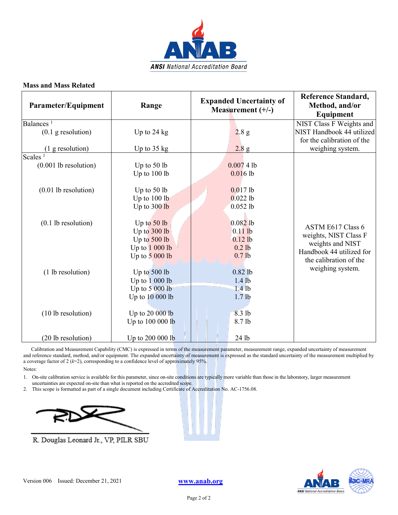

| Parameter/Equipment              | Range                 | <b>Expanded Uncertainty of</b><br>Measurement $(+/-)$ | Reference Standard,<br>Method, and/or<br>Equipment |
|----------------------------------|-----------------------|-------------------------------------------------------|----------------------------------------------------|
| Balances <sup>1</sup>            |                       |                                                       | NIST Class F Weights and                           |
| $(0.1$ g resolution)             | Up to $24$ kg         | 2.8 g                                                 | NIST Handbook 44 utilized                          |
|                                  |                       |                                                       | for the calibration of the                         |
| $(1$ g resolution)               | Up to $35 \text{ kg}$ | 2.8 g                                                 | weighing system.                                   |
| Scales <sup><math>1</math></sup> |                       |                                                       |                                                    |
| $(0.001$ lb resolution)          | Up to $50$ lb         | 0.00741                                               |                                                    |
|                                  | Up to 100 lb          | 0.0161                                                |                                                    |
| $(0.01$ lb resolution)           | Up to $50$ lb         | $0.017$ lb                                            |                                                    |
|                                  | Up to 100 lb          | $0.022$ lb                                            |                                                    |
|                                  | Up to 300 lb          | $0.052$ lb                                            |                                                    |
|                                  |                       |                                                       |                                                    |
| $(0.1$ lb resolution)            | Up to $50$ lb         | $0.082$ lb                                            | ASTM E617 Class 6                                  |
|                                  | Up to 300 lb          | $0.11$ lb                                             | weights, NIST Class F                              |
|                                  | Up to 500 lb          | $0.12$ lb                                             | weights and NIST                                   |
|                                  | Up to $1000$ lb       | $0.2$ lb                                              | Handbook 44 utilized for                           |
|                                  | Up to $5000$ lb       | 0.7 <sub>lb</sub>                                     | the calibration of the                             |
| (1 lb resolution)                | Up to 500 lb          | $0.82$ lb                                             | weighing system.                                   |
|                                  | Up to $1000$ lb       | $1.4$ lb                                              |                                                    |
|                                  | Up to $5000$ lb       | $1.4$ lb                                              |                                                    |
|                                  | Up to 10 000 lb       | 1.7 <sub>lb</sub>                                     |                                                    |
| (10 lb resolution)               | Up to 20 000 lb       | 8.3 lb                                                |                                                    |
|                                  | Up to 100 000 lb      | 8.7 lb                                                |                                                    |
| (20 lb resolution)               | Up to 200 000 lb      | 24 lb                                                 |                                                    |

 Calibration and Measurement Capability (CMC) is expressed in terms of the measurement parameter, measurement range, expanded uncertainty of measurement and reference standard, method, and/or equipment. The expanded uncertainty of measurement is expressed as the standard uncertainty of the measurement multiplied by a coverage factor of 2 (*k*=2), corresponding to a confidence level of approximately 95%.

Notes:

1. On-site calibration service is available for this parameter, since on-site conditions are typically more variable than those in the laboratory, larger measurement uncertainties are expected on-site than what is reported on the accredited scope.

2. This scope is formatted as part of a single document including Certificate of Accreditation No. AC-1756.08.



R. Douglas Leonard Jr., VP, PILR SBU

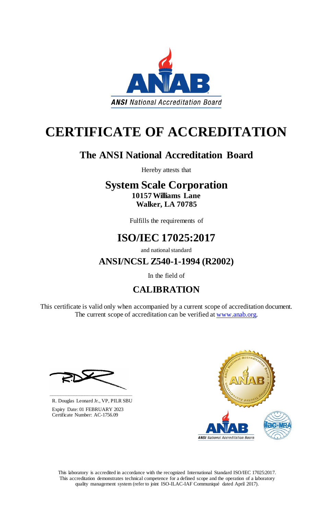This certificate is valid only when accompanied by a current scope of accreditation document. The current scope of accreditation can be verified at [www.anab.org.](http://www.anab.org/)









# **CERTIFICATE OF ACCREDITATION**

## **The ANSI National Accreditation Board**

Hereby attests that

### **System Scale Corporation 10157 Williams Lane Walker, LA 70785**

Fulfills the requirements of

## **ISO/IEC 17025:2017**

and national standard

**ANSI/NCSL Z540-1-1994 (R2002)**

In the field of

## **CALIBRATION**

**\_\_\_\_\_\_\_\_\_\_\_\_\_\_\_\_\_\_\_\_\_\_\_\_\_\_\_\_\_\_**

 R. Douglas Leonard Jr., VP, PILR SBU Expiry Date: 01 FEBRUARY 2023 Certificate Number: AC-1756.09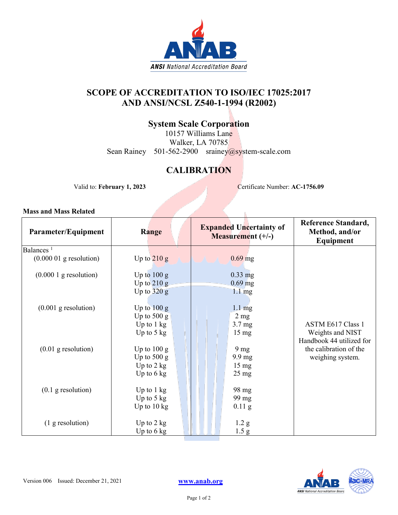

### **SCOPE OF ACCREDITATION TO ISO/IEC 17025:2017 AND ANSI/NCSL Z540-1-1994 (R2002)**

### **System Scale Corporation**

10157 Williams Lane Walker, LA 70785 Sean Rainey 501-562-2900 srainey@system-scale.com

### **CALIBRATION**

Valid to: **February 1, 2023** Certificate Number: **AC-1756.09** 

N

| Parameter/Equipment                | Range                 | <b>Expanded Uncertainty of</b><br><b>Measurement</b> $(+/-)$ | Reference Standard,<br>Method, and/or<br>Equipment |
|------------------------------------|-----------------------|--------------------------------------------------------------|----------------------------------------------------|
| Balances <sup><math>1</math></sup> |                       |                                                              |                                                    |
| $(0.000 01$ g resolution)          | Up to $210 g$         | $0.69$ mg                                                    |                                                    |
| $(0.0001)$ g resolution)           | Up to $100 g$         | $0.33$ mg                                                    |                                                    |
|                                    | Up to $210 g$         | $0.69$ mg                                                    |                                                    |
|                                    | Up to $320 g$         | $1.1 \text{ mg}$                                             |                                                    |
|                                    |                       |                                                              |                                                    |
| $(0.001$ g resolution)             | Up to $100 g$         | $1.1 \text{ mg}$                                             |                                                    |
|                                    | Up to $500 g$         | $2 \text{ mg}$                                               |                                                    |
|                                    | Up to $1 \text{ kg}$  | $3.7 \text{ mg}$                                             | <b>ASTM E617 Class 1</b>                           |
|                                    | Up to $5 \text{ kg}$  | $15 \text{ mg}$                                              | Weights and NIST                                   |
|                                    |                       |                                                              | Handbook 44 utilized for                           |
| $(0.01$ g resolution)              | Up to $100 g$         | 9 <sub>mg</sub>                                              | the calibration of the                             |
|                                    | Up to $500 g$         | $9.9 \text{ mg}$                                             | weighing system.                                   |
|                                    | Up to $2$ kg          | $15 \text{ mg}$                                              |                                                    |
|                                    | Up to $6 \text{ kg}$  | $25 \text{ mg}$                                              |                                                    |
|                                    |                       |                                                              |                                                    |
| $(0.1$ g resolution)               | Up to $1 \text{ kg}$  | 98 mg                                                        |                                                    |
|                                    | Up to $5 \text{ kg}$  | 99 mg                                                        |                                                    |
|                                    | Up to $10 \text{ kg}$ | $0.11$ g                                                     |                                                    |
|                                    |                       |                                                              |                                                    |
| (1 g resolution)                   | Up to $2 \text{ kg}$  | 1.2 <sub>g</sub>                                             |                                                    |
|                                    | Up to $6$ kg          | 1.5 <sub>g</sub>                                             |                                                    |